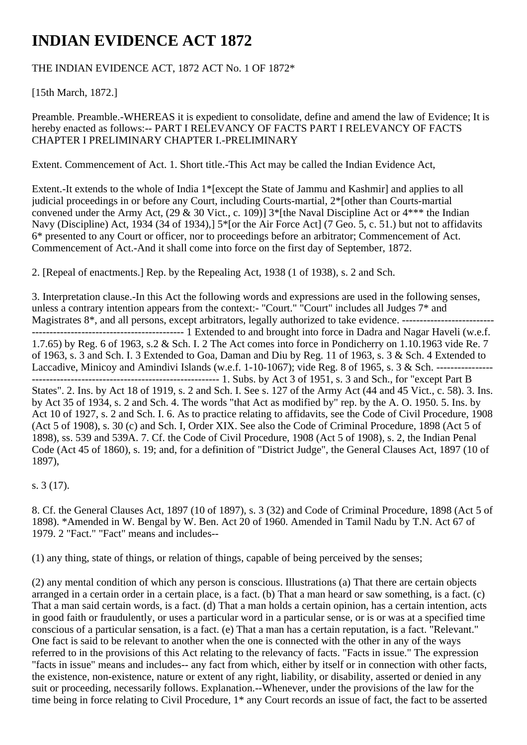## **INDIAN EVIDENCE ACT 1872**

## THE INDIAN EVIDENCE ACT, 1872 ACT No. 1 OF 1872\*

[15th March, 1872.]

Preamble. Preamble.-WHEREAS it is expedient to consolidate, define and amend the law of Evidence; It is hereby enacted as follows:-- PART I RELEVANCY OF FACTS PART I RELEVANCY OF FACTS CHAPTER I PRELIMINARY CHAPTER I.-PRELIMINARY

Extent. Commencement of Act. 1. Short title.-This Act may be called the Indian Evidence Act,

Extent.-It extends to the whole of India 1\*[except the State of Jammu and Kashmir] and applies to all judicial proceedings in or before any Court, including Courts-martial, 2\*[other than Courts-martial convened under the Army Act,  $(29 \& 30 \text{ Vict.}, c. 109)$ ] 3\*[the Naval Discipline Act or 4\*\*\* the Indian Navy (Discipline) Act, 1934 (34 of 1934),] 5\*[or the Air Force Act] (7 Geo. 5, c. 51.) but not to affidavits 6\* presented to any Court or officer, nor to proceedings before an arbitrator; Commencement of Act. Commencement of Act.-And it shall come into force on the first day of September, 1872.

2. [Repeal of enactments.] Rep. by the Repealing Act, 1938 (1 of 1938), s. 2 and Sch.

3. Interpretation clause.-In this Act the following words and expressions are used in the following senses, unless a contrary intention appears from the context:- "Court." "Court" includes all Judges 7\* and Magistrates 8\*, and all persons, except arbitrators, legally authorized to take evidence. -------------------------- ------------------------------------------- 1 Extended to and brought into force in Dadra and Nagar Haveli (w.e.f. 1.7.65) by Reg. 6 of 1963, s.2 & Sch. I. 2 The Act comes into force in Pondicherry on 1.10.1963 vide Re. 7 of 1963, s. 3 and Sch. I. 3 Extended to Goa, Daman and Diu by Reg. 11 of 1963, s. 3 & Sch. 4 Extended to Laccadive, Minicoy and Amindivi Islands (w.e.f.  $1-10-1067$ ); vide Reg. 8 of 1965, s. 3 & Sch. ---------------------------------------------------------------- 1. Subs. by Act 3 of 1951, s. 3 and Sch., for "except Part B States". 2. Ins. by Act 18 of 1919, s. 2 and Sch. I. See s. 127 of the Army Act (44 and 45 Vict., c. 58). 3. Ins. by Act 35 of 1934, s. 2 and Sch. 4. The words "that Act as modified by" rep. by the A. O. 1950. 5. Ins. by Act 10 of 1927, s. 2 and Sch. I. 6. As to practice relating to affidavits, see the Code of Civil Procedure, 1908 (Act 5 of 1908), s. 30 (c) and Sch. I, Order XIX. See also the Code of Criminal Procedure, 1898 (Act 5 of 1898), ss. 539 and 539A. 7. Cf. the Code of Civil Procedure, 1908 (Act 5 of 1908), s. 2, the Indian Penal Code (Act 45 of 1860), s. 19; and, for a definition of "District Judge", the General Clauses Act, 1897 (10 of 1897),

s. 3 (17).

8. Cf. the General Clauses Act, 1897 (10 of 1897), s. 3 (32) and Code of Criminal Procedure, 1898 (Act 5 of 1898). \*Amended in W. Bengal by W. Ben. Act 20 of 1960. Amended in Tamil Nadu by T.N. Act 67 of 1979. 2 "Fact." "Fact" means and includes--

(1) any thing, state of things, or relation of things, capable of being perceived by the senses;

(2) any mental condition of which any person is conscious. Illustrations (a) That there are certain objects arranged in a certain order in a certain place, is a fact. (b) That a man heard or saw something, is a fact. (c) That a man said certain words, is a fact. (d) That a man holds a certain opinion, has a certain intention, acts in good faith or fraudulently, or uses a particular word in a particular sense, or is or was at a specified time conscious of a particular sensation, is a fact. (e) That a man has a certain reputation, is a fact. "Relevant." One fact is said to be relevant to another when the one is connected with the other in any of the ways referred to in the provisions of this Act relating to the relevancy of facts. "Facts in issue." The expression "facts in issue" means and includes-- any fact from which, either by itself or in connection with other facts, the existence, non-existence, nature or extent of any right, liability, or disability, asserted or denied in any suit or proceeding, necessarily follows. Explanation.--Whenever, under the provisions of the law for the time being in force relating to Civil Procedure, 1\* any Court records an issue of fact, the fact to be asserted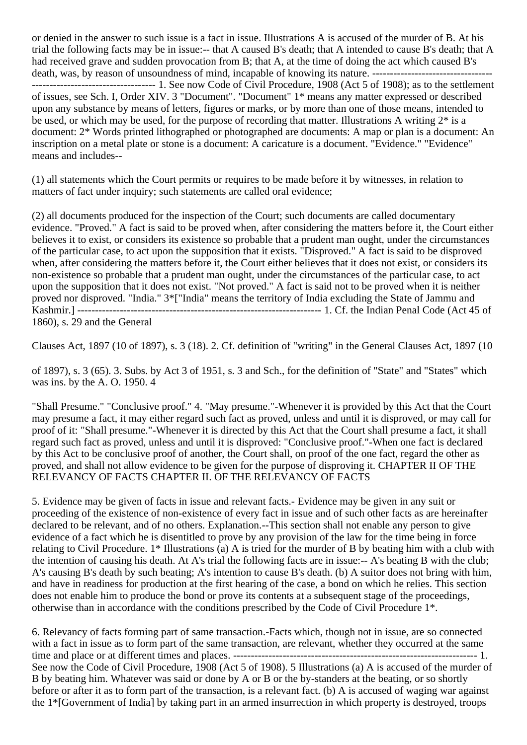or denied in the answer to such issue is a fact in issue. Illustrations A is accused of the murder of B. At his trial the following facts may be in issue:-- that A caused B's death; that A intended to cause B's death; that A had received grave and sudden provocation from B; that A, at the time of doing the act which caused B's death, was, by reason of unsoundness of mind, incapable of knowing its nature. ------------------------------------------------------------------ 1. See now Code of Civil Procedure, 1908 (Act 5 of 1908); as to the settlement of issues, see Sch. I, Order XIV. 3 "Document". "Document" 1\* means any matter expressed or described upon any substance by means of letters, figures or marks, or by more than one of those means, intended to be used, or which may be used, for the purpose of recording that matter. Illustrations A writing 2\* is a document: 2\* Words printed lithographed or photographed are documents: A map or plan is a document: An inscription on a metal plate or stone is a document: A caricature is a document. "Evidence." "Evidence" means and includes--

(1) all statements which the Court permits or requires to be made before it by witnesses, in relation to matters of fact under inquiry; such statements are called oral evidence;

(2) all documents produced for the inspection of the Court; such documents are called documentary evidence. "Proved." A fact is said to be proved when, after considering the matters before it, the Court either believes it to exist, or considers its existence so probable that a prudent man ought, under the circumstances of the particular case, to act upon the supposition that it exists. "Disproved." A fact is said to be disproved when, after considering the matters before it, the Court either believes that it does not exist, or considers its non-existence so probable that a prudent man ought, under the circumstances of the particular case, to act upon the supposition that it does not exist. "Not proved." A fact is said not to be proved when it is neither proved nor disproved. "India." 3\*["India" means the territory of India excluding the State of Jammu and Kashmir.] --------------------------------------------------------------------- 1. Cf. the Indian Penal Code (Act 45 of 1860), s. 29 and the General

Clauses Act, 1897 (10 of 1897), s. 3 (18). 2. Cf. definition of "writing" in the General Clauses Act, 1897 (10

of 1897), s. 3 (65). 3. Subs. by Act 3 of 1951, s. 3 and Sch., for the definition of "State" and "States" which was ins. by the A. O. 1950. 4

"Shall Presume." "Conclusive proof." 4. "May presume."-Whenever it is provided by this Act that the Court may presume a fact, it may either regard such fact as proved, unless and until it is disproved, or may call for proof of it: "Shall presume."-Whenever it is directed by this Act that the Court shall presume a fact, it shall regard such fact as proved, unless and until it is disproved: "Conclusive proof."-When one fact is declared by this Act to be conclusive proof of another, the Court shall, on proof of the one fact, regard the other as proved, and shall not allow evidence to be given for the purpose of disproving it. CHAPTER II OF THE RELEVANCY OF FACTS CHAPTER II. OF THE RELEVANCY OF FACTS

5. Evidence may be given of facts in issue and relevant facts.- Evidence may be given in any suit or proceeding of the existence of non-existence of every fact in issue and of such other facts as are hereinafter declared to be relevant, and of no others. Explanation.--This section shall not enable any person to give evidence of a fact which he is disentitled to prove by any provision of the law for the time being in force relating to Civil Procedure. 1\* Illustrations (a) A is tried for the murder of B by beating him with a club with the intention of causing his death. At A's trial the following facts are in issue:-- A's beating B with the club; A's causing B's death by such beating; A's intention to cause B's death. (b) A suitor does not bring with him, and have in readiness for production at the first hearing of the case, a bond on which he relies. This section does not enable him to produce the bond or prove its contents at a subsequent stage of the proceedings, otherwise than in accordance with the conditions prescribed by the Code of Civil Procedure 1\*.

6. Relevancy of facts forming part of same transaction.-Facts which, though not in issue, are so connected with a fact in issue as to form part of the same transaction, are relevant, whether they occurred at the same time and place or at different times and places. --------------------------------------------------------------------- 1. See now the Code of Civil Procedure, 1908 (Act 5 of 1908). 5 Illustrations (a) A is accused of the murder of B by beating him. Whatever was said or done by A or B or the by-standers at the beating, or so shortly before or after it as to form part of the transaction, is a relevant fact. (b) A is accused of waging war against the 1\*[Government of India] by taking part in an armed insurrection in which property is destroyed, troops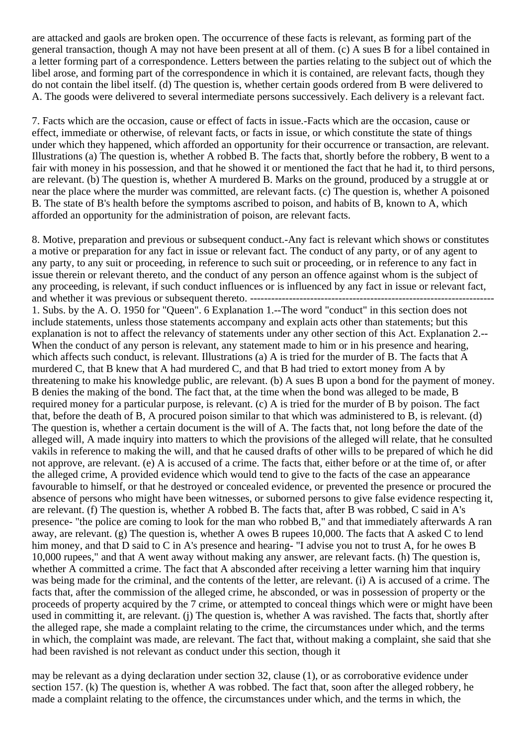are attacked and gaols are broken open. The occurrence of these facts is relevant, as forming part of the general transaction, though A may not have been present at all of them. (c) A sues B for a libel contained in a letter forming part of a correspondence. Letters between the parties relating to the subject out of which the libel arose, and forming part of the correspondence in which it is contained, are relevant facts, though they do not contain the libel itself. (d) The question is, whether certain goods ordered from B were delivered to A. The goods were delivered to several intermediate persons successively. Each delivery is a relevant fact.

7. Facts which are the occasion, cause or effect of facts in issue.-Facts which are the occasion, cause or effect, immediate or otherwise, of relevant facts, or facts in issue, or which constitute the state of things under which they happened, which afforded an opportunity for their occurrence or transaction, are relevant. Illustrations (a) The question is, whether A robbed B. The facts that, shortly before the robbery, B went to a fair with money in his possession, and that he showed it or mentioned the fact that he had it, to third persons, are relevant. (b) The question is, whether A murdered B. Marks on the ground, produced by a struggle at or near the place where the murder was committed, are relevant facts. (c) The question is, whether A poisoned B. The state of B's health before the symptoms ascribed to poison, and habits of B, known to A, which afforded an opportunity for the administration of poison, are relevant facts.

8. Motive, preparation and previous or subsequent conduct.-Any fact is relevant which shows or constitutes a motive or preparation for any fact in issue or relevant fact. The conduct of any party, or of any agent to any party, to any suit or proceeding, in reference to such suit or proceeding, or in reference to any fact in issue therein or relevant thereto, and the conduct of any person an offence against whom is the subject of any proceeding, is relevant, if such conduct influences or is influenced by any fact in issue or relevant fact, and whether it was previous or subsequent thereto. ------------------------------1. Subs. by the A. O. 1950 for "Queen". 6 Explanation 1.--The word "conduct" in this section does not include statements, unless those statements accompany and explain acts other than statements; but this explanation is not to affect the relevancy of statements under any other section of this Act. Explanation 2.-- When the conduct of any person is relevant, any statement made to him or in his presence and hearing, which affects such conduct, is relevant. Illustrations (a) A is tried for the murder of B. The facts that A murdered C, that B knew that A had murdered C, and that B had tried to extort money from A by threatening to make his knowledge public, are relevant. (b) A sues B upon a bond for the payment of money. B denies the making of the bond. The fact that, at the time when the bond was alleged to be made, B required money for a particular purpose, is relevant. (c) A is tried for the murder of B by poison. The fact that, before the death of B, A procured poison similar to that which was administered to B, is relevant. (d) The question is, whether a certain document is the will of A. The facts that, not long before the date of the alleged will, A made inquiry into matters to which the provisions of the alleged will relate, that he consulted vakils in reference to making the will, and that he caused drafts of other wills to be prepared of which he did not approve, are relevant. (e) A is accused of a crime. The facts that, either before or at the time of, or after the alleged crime, A provided evidence which would tend to give to the facts of the case an appearance favourable to himself, or that he destroyed or concealed evidence, or prevented the presence or procured the absence of persons who might have been witnesses, or suborned persons to give false evidence respecting it, are relevant. (f) The question is, whether A robbed B. The facts that, after B was robbed, C said in A's presence- "the police are coming to look for the man who robbed B," and that immediately afterwards A ran away, are relevant. (g) The question is, whether A owes B rupees 10,000. The facts that A asked C to lend him money, and that D said to C in A's presence and hearing- "I advise you not to trust A, for he owes B 10,000 rupees," and that A went away without making any answer, are relevant facts. (h) The question is, whether A committed a crime. The fact that A absconded after receiving a letter warning him that inquiry was being made for the criminal, and the contents of the letter, are relevant. (i) A is accused of a crime. The facts that, after the commission of the alleged crime, he absconded, or was in possession of property or the proceeds of property acquired by the 7 crime, or attempted to conceal things which were or might have been used in committing it, are relevant. (j) The question is, whether A was ravished. The facts that, shortly after the alleged rape, she made a complaint relating to the crime, the circumstances under which, and the terms in which, the complaint was made, are relevant. The fact that, without making a complaint, she said that she had been ravished is not relevant as conduct under this section, though it

may be relevant as a dying declaration under section 32, clause (1), or as corroborative evidence under section 157. (k) The question is, whether A was robbed. The fact that, soon after the alleged robbery, he made a complaint relating to the offence, the circumstances under which, and the terms in which, the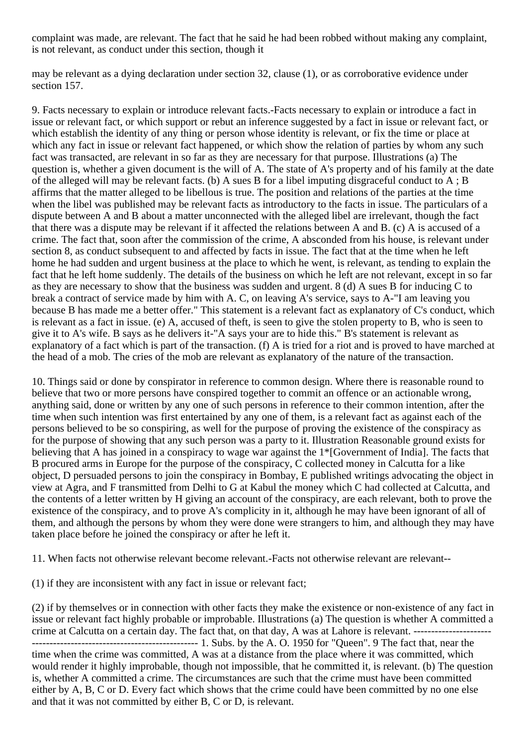complaint was made, are relevant. The fact that he said he had been robbed without making any complaint, is not relevant, as conduct under this section, though it

may be relevant as a dying declaration under section 32, clause (1), or as corroborative evidence under section 157.

9. Facts necessary to explain or introduce relevant facts.-Facts necessary to explain or introduce a fact in issue or relevant fact, or which support or rebut an inference suggested by a fact in issue or relevant fact, or which establish the identity of any thing or person whose identity is relevant, or fix the time or place at which any fact in issue or relevant fact happened, or which show the relation of parties by whom any such fact was transacted, are relevant in so far as they are necessary for that purpose. Illustrations (a) The question is, whether a given document is the will of A. The state of A's property and of his family at the date of the alleged will may be relevant facts. (b) A sues B for a libel imputing disgraceful conduct to A ; B affirms that the matter alleged to be libellous is true. The position and relations of the parties at the time when the libel was published may be relevant facts as introductory to the facts in issue. The particulars of a dispute between A and B about a matter unconnected with the alleged libel are irrelevant, though the fact that there was a dispute may be relevant if it affected the relations between A and B. (c) A is accused of a crime. The fact that, soon after the commission of the crime, A absconded from his house, is relevant under section 8, as conduct subsequent to and affected by facts in issue. The fact that at the time when he left home he had sudden and urgent business at the place to which he went, is relevant, as tending to explain the fact that he left home suddenly. The details of the business on which he left are not relevant, except in so far as they are necessary to show that the business was sudden and urgent. 8 (d) A sues B for inducing C to break a contract of service made by him with A. C, on leaving A's service, says to A-"I am leaving you because B has made me a better offer." This statement is a relevant fact as explanatory of C's conduct, which is relevant as a fact in issue. (e) A, accused of theft, is seen to give the stolen property to B, who is seen to give it to A's wife. B says as he delivers it-"A says your are to hide this." B's statement is relevant as explanatory of a fact which is part of the transaction. (f) A is tried for a riot and is proved to have marched at the head of a mob. The cries of the mob are relevant as explanatory of the nature of the transaction.

10. Things said or done by conspirator in reference to common design. Where there is reasonable round to believe that two or more persons have conspired together to commit an offence or an actionable wrong, anything said, done or written by any one of such persons in reference to their common intention, after the time when such intention was first entertained by any one of them, is a relevant fact as against each of the persons believed to be so conspiring, as well for the purpose of proving the existence of the conspiracy as for the purpose of showing that any such person was a party to it. Illustration Reasonable ground exists for believing that A has joined in a conspiracy to wage war against the 1\*[Government of India]. The facts that B procured arms in Europe for the purpose of the conspiracy, C collected money in Calcutta for a like object, D persuaded persons to join the conspiracy in Bombay, E published writings advocating the object in view at Agra, and F transmitted from Delhi to G at Kabul the money which C had collected at Calcutta, and the contents of a letter written by H giving an account of the conspiracy, are each relevant, both to prove the existence of the conspiracy, and to prove A's complicity in it, although he may have been ignorant of all of them, and although the persons by whom they were done were strangers to him, and although they may have taken place before he joined the conspiracy or after he left it.

11. When facts not otherwise relevant become relevant.-Facts not otherwise relevant are relevant--

(1) if they are inconsistent with any fact in issue or relevant fact;

(2) if by themselves or in connection with other facts they make the existence or non-existence of any fact in issue or relevant fact highly probable or improbable. Illustrations (a) The question is whether A committed a crime at Calcutta on a certain day. The fact that, on that day, A was at Lahore is relevant. --------------------------------------------------------------- 1. Subs. by the A. O. 1950 for "Queen". 9 The fact that, near the time when the crime was committed, A was at a distance from the place where it was committed, which would render it highly improbable, though not impossible, that he committed it, is relevant. (b) The question is, whether A committed a crime. The circumstances are such that the crime must have been committed either by A, B, C or D. Every fact which shows that the crime could have been committed by no one else and that it was not committed by either B, C or D, is relevant.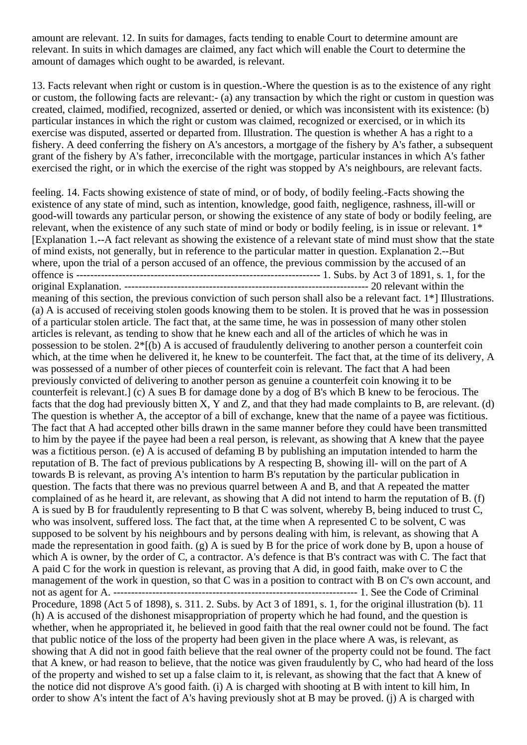amount are relevant. 12. In suits for damages, facts tending to enable Court to determine amount are relevant. In suits in which damages are claimed, any fact which will enable the Court to determine the amount of damages which ought to be awarded, is relevant.

13. Facts relevant when right or custom is in question.-Where the question is as to the existence of any right or custom, the following facts are relevant:- (a) any transaction by which the right or custom in question was created, claimed, modified, recognized, asserted or denied, or which was inconsistent with its existence: (b) particular instances in which the right or custom was claimed, recognized or exercised, or in which its exercise was disputed, asserted or departed from. Illustration. The question is whether A has a right to a fishery. A deed conferring the fishery on A's ancestors, a mortgage of the fishery by A's father, a subsequent grant of the fishery by A's father, irreconcilable with the mortgage, particular instances in which A's father exercised the right, or in which the exercise of the right was stopped by A's neighbours, are relevant facts.

feeling. 14. Facts showing existence of state of mind, or of body, of bodily feeling.-Facts showing the existence of any state of mind, such as intention, knowledge, good faith, negligence, rashness, ill-will or good-will towards any particular person, or showing the existence of any state of body or bodily feeling, are relevant, when the existence of any such state of mind or body or bodily feeling, is in issue or relevant. 1<sup>\*</sup> [Explanation 1.--A fact relevant as showing the existence of a relevant state of mind must show that the state of mind exists, not generally, but in reference to the particular matter in question. Explanation 2.--But where, upon the trial of a person accused of an offence, the previous commission by the accused of an offence is --------------------------------------------------------------------- 1. Subs. by Act 3 of 1891, s. 1, for the original Explanation. --------------------------------------------------------------------- 20 relevant within the meaning of this section, the previous conviction of such person shall also be a relevant fact. 1\*] Illustrations. (a) A is accused of receiving stolen goods knowing them to be stolen. It is proved that he was in possession of a particular stolen article. The fact that, at the same time, he was in possession of many other stolen articles is relevant, as tending to show that he knew each and all of the articles of which he was in possession to be stolen.  $2*(b)$  A is accused of fraudulently delivering to another person a counterfeit coin which, at the time when he delivered it, he knew to be counterfeit. The fact that, at the time of its delivery, A was possessed of a number of other pieces of counterfeit coin is relevant. The fact that A had been previously convicted of delivering to another person as genuine a counterfeit coin knowing it to be counterfeit is relevant.] (c) A sues B for damage done by a dog of B's which B knew to be ferocious. The facts that the dog had previously bitten X, Y and Z, and that they had made complaints to B, are relevant. (d) The question is whether A, the acceptor of a bill of exchange, knew that the name of a payee was fictitious. The fact that A had accepted other bills drawn in the same manner before they could have been transmitted to him by the payee if the payee had been a real person, is relevant, as showing that A knew that the payee was a fictitious person. (e) A is accused of defaming B by publishing an imputation intended to harm the reputation of B. The fact of previous publications by A respecting B, showing ill- will on the part of A towards B is relevant, as proving A's intention to harm B's reputation by the particular publication in question. The facts that there was no previous quarrel between A and B, and that A repeated the matter complained of as he heard it, are relevant, as showing that A did not intend to harm the reputation of B. (f) A is sued by B for fraudulently representing to B that C was solvent, whereby B, being induced to trust C, who was insolvent, suffered loss. The fact that, at the time when A represented C to be solvent, C was supposed to be solvent by his neighbours and by persons dealing with him, is relevant, as showing that A made the representation in good faith. (g) A is sued by B for the price of work done by B, upon a house of which A is owner, by the order of C, a contractor. A's defence is that B's contract was with C. The fact that A paid C for the work in question is relevant, as proving that A did, in good faith, make over to C the management of the work in question, so that C was in a position to contract with B on C's own account, and not as agent for A. --------------------------------------------------------------------- 1. See the Code of Criminal Procedure, 1898 (Act 5 of 1898), s. 311. 2. Subs. by Act 3 of 1891, s. 1, for the original illustration (b). 11 (h) A is accused of the dishonest misappropriation of property which he had found, and the question is whether, when he appropriated it, he believed in good faith that the real owner could not be found. The fact that public notice of the loss of the property had been given in the place where A was, is relevant, as showing that A did not in good faith believe that the real owner of the property could not be found. The fact that A knew, or had reason to believe, that the notice was given fraudulently by C, who had heard of the loss of the property and wished to set up a false claim to it, is relevant, as showing that the fact that A knew of the notice did not disprove A's good faith. (i) A is charged with shooting at B with intent to kill him, In order to show A's intent the fact of A's having previously shot at B may be proved. (j) A is charged with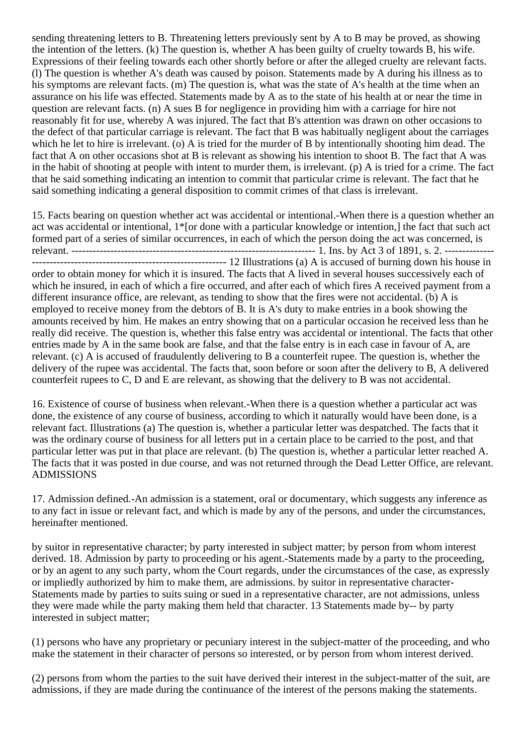sending threatening letters to B. Threatening letters previously sent by A to B may be proved, as showing the intention of the letters. (k) The question is, whether A has been guilty of cruelty towards B, his wife. Expressions of their feeling towards each other shortly before or after the alleged cruelty are relevant facts. (l) The question is whether A's death was caused by poison. Statements made by A during his illness as to his symptoms are relevant facts. (m) The question is, what was the state of A's health at the time when an assurance on his life was effected. Statements made by A as to the state of his health at or near the time in question are relevant facts. (n) A sues B for negligence in providing him with a carriage for hire not reasonably fit for use, whereby A was injured. The fact that B's attention was drawn on other occasions to the defect of that particular carriage is relevant. The fact that B was habitually negligent about the carriages which he let to hire is irrelevant. (o) A is tried for the murder of B by intentionally shooting him dead. The fact that A on other occasions shot at B is relevant as showing his intention to shoot B. The fact that A was in the habit of shooting at people with intent to murder them, is irrelevant. (p) A is tried for a crime. The fact that he said something indicating an intention to commit that particular crime is relevant. The fact that he said something indicating a general disposition to commit crimes of that class is irrelevant.

15. Facts bearing on question whether act was accidental or intentional.-When there is a question whether an act was accidental or intentional, 1\*[or done with a particular knowledge or intention,] the fact that such act formed part of a series of similar occurrences, in each of which the person doing the act was concerned, is relevant. --------------------------------------------------------------------- 1. Ins. by Act 3 of 1891, s. 2. -------------- ------------------------------------------------------- 12 Illustrations (a) A is accused of burning down his house in order to obtain money for which it is insured. The facts that A lived in several houses successively each of which he insured, in each of which a fire occurred, and after each of which fires A received payment from a different insurance office, are relevant, as tending to show that the fires were not accidental. (b) A is employed to receive money from the debtors of B. It is A's duty to make entries in a book showing the amounts received by him. He makes an entry showing that on a particular occasion he received less than he really did receive. The question is, whether this false entry was accidental or intentional. The facts that other entries made by A in the same book are false, and that the false entry is in each case in favour of A, are relevant. (c) A is accused of fraudulently delivering to B a counterfeit rupee. The question is, whether the delivery of the rupee was accidental. The facts that, soon before or soon after the delivery to B, A delivered counterfeit rupees to C, D and E are relevant, as showing that the delivery to B was not accidental.

16. Existence of course of business when relevant.-When there is a question whether a particular act was done, the existence of any course of business, according to which it naturally would have been done, is a relevant fact. Illustrations (a) The question is, whether a particular letter was despatched. The facts that it was the ordinary course of business for all letters put in a certain place to be carried to the post, and that particular letter was put in that place are relevant. (b) The question is, whether a particular letter reached A. The facts that it was posted in due course, and was not returned through the Dead Letter Office, are relevant. ADMISSIONS

17. Admission defined.-An admission is a statement, oral or documentary, which suggests any inference as to any fact in issue or relevant fact, and which is made by any of the persons, and under the circumstances, hereinafter mentioned.

by suitor in representative character; by party interested in subject matter; by person from whom interest derived. 18. Admission by party to proceeding or his agent.-Statements made by a party to the proceeding, or by an agent to any such party, whom the Court regards, under the circumstances of the case, as expressly or impliedly authorized by him to make them, are admissions. by suitor in representative character-Statements made by parties to suits suing or sued in a representative character, are not admissions, unless they were made while the party making them held that character. 13 Statements made by-- by party interested in subject matter;

(1) persons who have any proprietary or pecuniary interest in the subject-matter of the proceeding, and who make the statement in their character of persons so interested, or by person from whom interest derived.

(2) persons from whom the parties to the suit have derived their interest in the subject-matter of the suit, are admissions, if they are made during the continuance of the interest of the persons making the statements.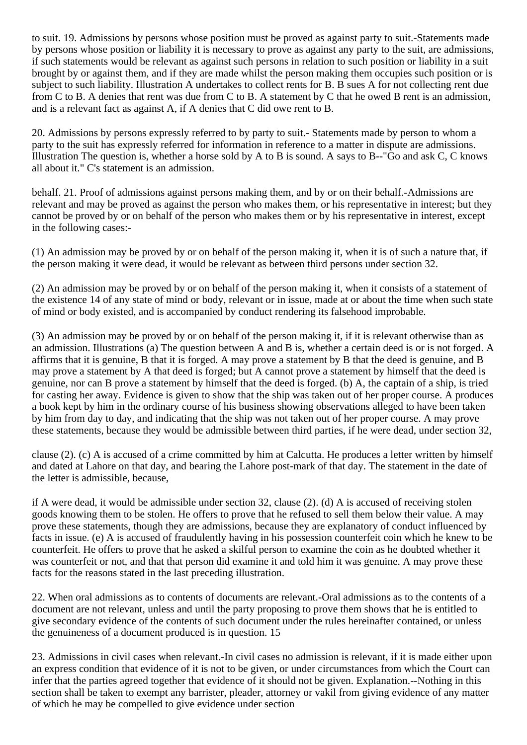to suit. 19. Admissions by persons whose position must be proved as against party to suit.-Statements made by persons whose position or liability it is necessary to prove as against any party to the suit, are admissions, if such statements would be relevant as against such persons in relation to such position or liability in a suit brought by or against them, and if they are made whilst the person making them occupies such position or is subject to such liability. Illustration A undertakes to collect rents for B. B sues A for not collecting rent due from C to B. A denies that rent was due from C to B. A statement by C that he owed B rent is an admission, and is a relevant fact as against A, if A denies that C did owe rent to B.

20. Admissions by persons expressly referred to by party to suit.- Statements made by person to whom a party to the suit has expressly referred for information in reference to a matter in dispute are admissions. Illustration The question is, whether a horse sold by A to B is sound. A says to B--"Go and ask C, C knows all about it." C's statement is an admission.

behalf. 21. Proof of admissions against persons making them, and by or on their behalf.-Admissions are relevant and may be proved as against the person who makes them, or his representative in interest; but they cannot be proved by or on behalf of the person who makes them or by his representative in interest, except in the following cases:-

(1) An admission may be proved by or on behalf of the person making it, when it is of such a nature that, if the person making it were dead, it would be relevant as between third persons under section 32.

(2) An admission may be proved by or on behalf of the person making it, when it consists of a statement of the existence 14 of any state of mind or body, relevant or in issue, made at or about the time when such state of mind or body existed, and is accompanied by conduct rendering its falsehood improbable.

(3) An admission may be proved by or on behalf of the person making it, if it is relevant otherwise than as an admission. Illustrations (a) The question between A and B is, whether a certain deed is or is not forged. A affirms that it is genuine, B that it is forged. A may prove a statement by B that the deed is genuine, and B may prove a statement by A that deed is forged; but A cannot prove a statement by himself that the deed is genuine, nor can B prove a statement by himself that the deed is forged. (b) A, the captain of a ship, is tried for casting her away. Evidence is given to show that the ship was taken out of her proper course. A produces a book kept by him in the ordinary course of his business showing observations alleged to have been taken by him from day to day, and indicating that the ship was not taken out of her proper course. A may prove these statements, because they would be admissible between third parties, if he were dead, under section 32,

clause (2). (c) A is accused of a crime committed by him at Calcutta. He produces a letter written by himself and dated at Lahore on that day, and bearing the Lahore post-mark of that day. The statement in the date of the letter is admissible, because,

if A were dead, it would be admissible under section 32, clause (2). (d) A is accused of receiving stolen goods knowing them to be stolen. He offers to prove that he refused to sell them below their value. A may prove these statements, though they are admissions, because they are explanatory of conduct influenced by facts in issue. (e) A is accused of fraudulently having in his possession counterfeit coin which he knew to be counterfeit. He offers to prove that he asked a skilful person to examine the coin as he doubted whether it was counterfeit or not, and that that person did examine it and told him it was genuine. A may prove these facts for the reasons stated in the last preceding illustration.

22. When oral admissions as to contents of documents are relevant.-Oral admissions as to the contents of a document are not relevant, unless and until the party proposing to prove them shows that he is entitled to give secondary evidence of the contents of such document under the rules hereinafter contained, or unless the genuineness of a document produced is in question. 15

23. Admissions in civil cases when relevant.-In civil cases no admission is relevant, if it is made either upon an express condition that evidence of it is not to be given, or under circumstances from which the Court can infer that the parties agreed together that evidence of it should not be given. Explanation.--Nothing in this section shall be taken to exempt any barrister, pleader, attorney or vakil from giving evidence of any matter of which he may be compelled to give evidence under section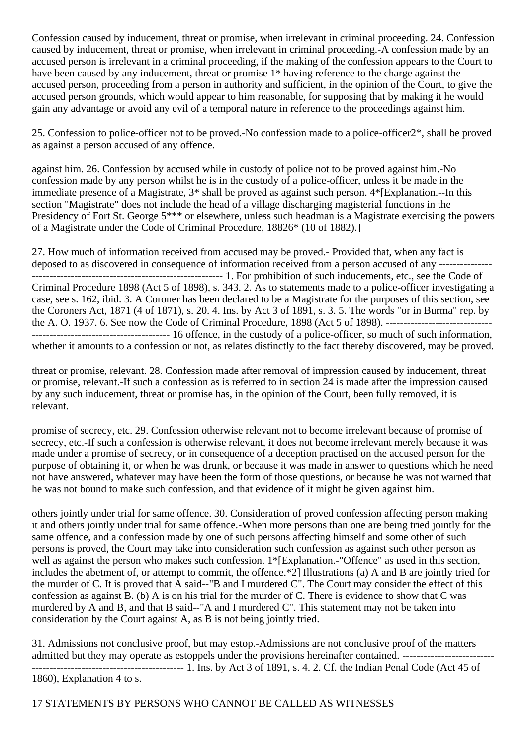Confession caused by inducement, threat or promise, when irrelevant in criminal proceeding. 24. Confession caused by inducement, threat or promise, when irrelevant in criminal proceeding.-A confession made by an accused person is irrelevant in a criminal proceeding, if the making of the confession appears to the Court to have been caused by any inducement, threat or promise 1<sup>\*</sup> having reference to the charge against the accused person, proceeding from a person in authority and sufficient, in the opinion of the Court, to give the accused person grounds, which would appear to him reasonable, for supposing that by making it he would gain any advantage or avoid any evil of a temporal nature in reference to the proceedings against him.

25. Confession to police-officer not to be proved.-No confession made to a police-officer2\*, shall be proved as against a person accused of any offence.

against him. 26. Confession by accused while in custody of police not to be proved against him.-No confession made by any person whilst he is in the custody of a police-officer, unless it be made in the immediate presence of a Magistrate, 3\* shall be proved as against such person. 4\*[Explanation.--In this section "Magistrate" does not include the head of a village discharging magisterial functions in the Presidency of Fort St. George 5\*\*\* or elsewhere, unless such headman is a Magistrate exercising the powers of a Magistrate under the Code of Criminal Procedure, 18826\* (10 of 1882).]

27. How much of information received from accused may be proved.- Provided that, when any fact is deposed to as discovered in consequence of information received from a person accused of any --------------- ------------------------------------------------------ 1. For prohibition of such inducements, etc., see the Code of Criminal Procedure 1898 (Act 5 of 1898), s. 343. 2. As to statements made to a police-officer investigating a case, see s. 162, ibid. 3. A Coroner has been declared to be a Magistrate for the purposes of this section, see the Coroners Act, 1871 (4 of 1871), s. 20. 4. Ins. by Act 3 of 1891, s. 3. 5. The words "or in Burma" rep. by the A. O. 1937. 6. See now the Code of Criminal Procedure, 1898 (Act 5 of 1898). ------------------------------ --------------------------------------- 16 offence, in the custody of a police-officer, so much of such information, whether it amounts to a confession or not, as relates distinctly to the fact thereby discovered, may be proved.

threat or promise, relevant. 28. Confession made after removal of impression caused by inducement, threat or promise, relevant.-If such a confession as is referred to in section 24 is made after the impression caused by any such inducement, threat or promise has, in the opinion of the Court, been fully removed, it is relevant.

promise of secrecy, etc. 29. Confession otherwise relevant not to become irrelevant because of promise of secrecy, etc.-If such a confession is otherwise relevant, it does not become irrelevant merely because it was made under a promise of secrecy, or in consequence of a deception practised on the accused person for the purpose of obtaining it, or when he was drunk, or because it was made in answer to questions which he need not have answered, whatever may have been the form of those questions, or because he was not warned that he was not bound to make such confession, and that evidence of it might be given against him.

others jointly under trial for same offence. 30. Consideration of proved confession affecting person making it and others jointly under trial for same offence.-When more persons than one are being tried jointly for the same offence, and a confession made by one of such persons affecting himself and some other of such persons is proved, the Court may take into consideration such confession as against such other person as well as against the person who makes such confession. 1\*[Explanation.-"Offence" as used in this section, includes the abetment of, or attempt to commit, the offence.\*2] Illustrations (a) A and B are jointly tried for the murder of C. It is proved that A said--"B and I murdered C". The Court may consider the effect of this confession as against B. (b) A is on his trial for the murder of C. There is evidence to show that C was murdered by A and B, and that B said--"A and I murdered C". This statement may not be taken into consideration by the Court against A, as B is not being jointly tried.

31. Admissions not conclusive proof, but may estop.-Admissions are not conclusive proof of the matters admitted but they may operate as estoppels under the provisions hereinafter contained. -----------------------

------------------------------------------- 1. Ins. by Act 3 of 1891, s. 4. 2. Cf. the Indian Penal Code (Act 45 of 1860), Explanation 4 to s.

17 STATEMENTS BY PERSONS WHO CANNOT BE CALLED AS WITNESSES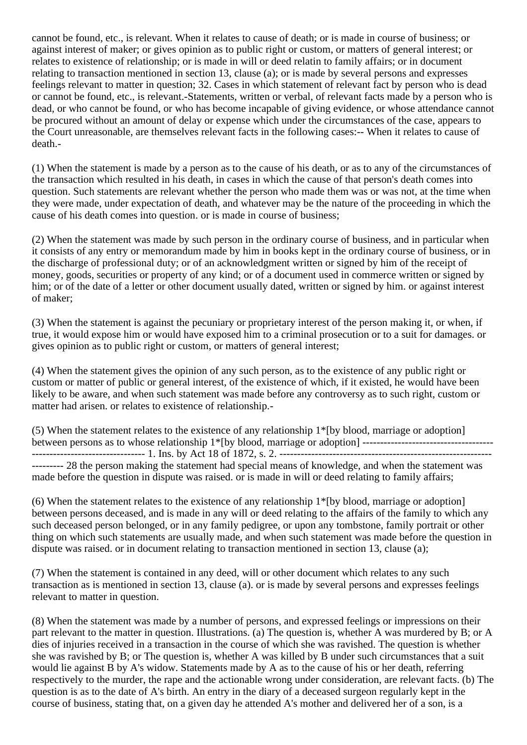cannot be found, etc., is relevant. When it relates to cause of death; or is made in course of business; or against interest of maker; or gives opinion as to public right or custom, or matters of general interest; or relates to existence of relationship; or is made in will or deed relatin to family affairs; or in document relating to transaction mentioned in section 13, clause (a); or is made by several persons and expresses feelings relevant to matter in question; 32. Cases in which statement of relevant fact by person who is dead or cannot be found, etc., is relevant.-Statements, written or verbal, of relevant facts made by a person who is dead, or who cannot be found, or who has become incapable of giving evidence, or whose attendance cannot be procured without an amount of delay or expense which under the circumstances of the case, appears to the Court unreasonable, are themselves relevant facts in the following cases:-- When it relates to cause of death.-

(1) When the statement is made by a person as to the cause of his death, or as to any of the circumstances of the transaction which resulted in his death, in cases in which the cause of that person's death comes into question. Such statements are relevant whether the person who made them was or was not, at the time when they were made, under expectation of death, and whatever may be the nature of the proceeding in which the cause of his death comes into question. or is made in course of business;

(2) When the statement was made by such person in the ordinary course of business, and in particular when it consists of any entry or memorandum made by him in books kept in the ordinary course of business, or in the discharge of professional duty; or of an acknowledgment written or signed by him of the receipt of money, goods, securities or property of any kind; or of a document used in commerce written or signed by him; or of the date of a letter or other document usually dated, written or signed by him. or against interest of maker;

(3) When the statement is against the pecuniary or proprietary interest of the person making it, or when, if true, it would expose him or would have exposed him to a criminal prosecution or to a suit for damages. or gives opinion as to public right or custom, or matters of general interest;

(4) When the statement gives the opinion of any such person, as to the existence of any public right or custom or matter of public or general interest, of the existence of which, if it existed, he would have been likely to be aware, and when such statement was made before any controversy as to such right, custom or matter had arisen. or relates to existence of relationship.-

(5) When the statement relates to the existence of any relationship 1\*[by blood, marriage or adoption] between persons as to whose relationship 1\*[by blood, marriage or adoption] ------------------------------------- -------------------------------- 1. Ins. by Act 18 of 1872, s. 2. ------------------------------------------------------------ --------- 28 the person making the statement had special means of knowledge, and when the statement was made before the question in dispute was raised. or is made in will or deed relating to family affairs;

(6) When the statement relates to the existence of any relationship  $1*$ [by blood, marriage or adoption] between persons deceased, and is made in any will or deed relating to the affairs of the family to which any such deceased person belonged, or in any family pedigree, or upon any tombstone, family portrait or other thing on which such statements are usually made, and when such statement was made before the question in dispute was raised. or in document relating to transaction mentioned in section 13, clause (a);

(7) When the statement is contained in any deed, will or other document which relates to any such transaction as is mentioned in section 13, clause (a). or is made by several persons and expresses feelings relevant to matter in question.

(8) When the statement was made by a number of persons, and expressed feelings or impressions on their part relevant to the matter in question. Illustrations. (a) The question is, whether A was murdered by B; or A dies of injuries received in a transaction in the course of which she was ravished. The question is whether she was ravished by B; or The question is, whether A was killed by B under such circumstances that a suit would lie against B by A's widow. Statements made by A as to the cause of his or her death, referring respectively to the murder, the rape and the actionable wrong under consideration, are relevant facts. (b) The question is as to the date of A's birth. An entry in the diary of a deceased surgeon regularly kept in the course of business, stating that, on a given day he attended A's mother and delivered her of a son, is a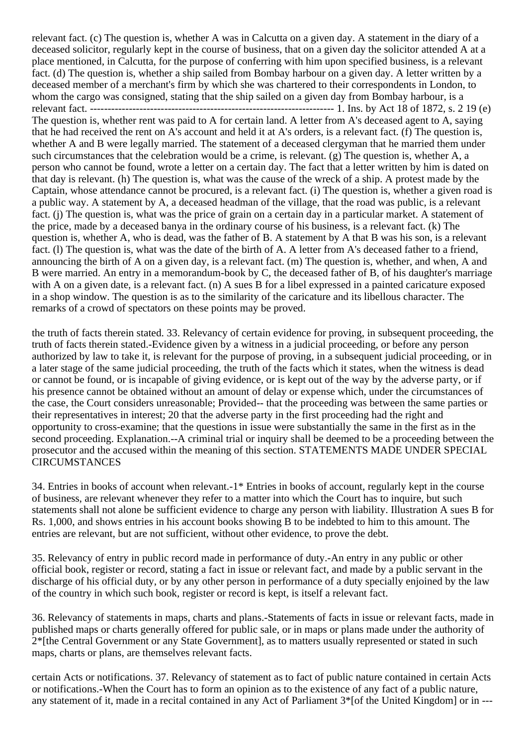relevant fact. (c) The question is, whether A was in Calcutta on a given day. A statement in the diary of a deceased solicitor, regularly kept in the course of business, that on a given day the solicitor attended A at a place mentioned, in Calcutta, for the purpose of conferring with him upon specified business, is a relevant fact. (d) The question is, whether a ship sailed from Bombay harbour on a given day. A letter written by a deceased member of a merchant's firm by which she was chartered to their correspondents in London, to whom the cargo was consigned, stating that the ship sailed on a given day from Bombay harbour, is a relevant fact. --------------------------------------------------------------------- 1. Ins. by Act 18 of 1872, s. 2 19 (e) The question is, whether rent was paid to A for certain land. A letter from A's deceased agent to A, saying that he had received the rent on A's account and held it at A's orders, is a relevant fact. (f) The question is, whether A and B were legally married. The statement of a deceased clergyman that he married them under such circumstances that the celebration would be a crime, is relevant. (g) The question is, whether A, a person who cannot be found, wrote a letter on a certain day. The fact that a letter written by him is dated on that day is relevant. (h) The question is, what was the cause of the wreck of a ship. A protest made by the Captain, whose attendance cannot be procured, is a relevant fact. (i) The question is, whether a given road is a public way. A statement by A, a deceased headman of the village, that the road was public, is a relevant fact. (i) The question is, what was the price of grain on a certain day in a particular market. A statement of the price, made by a deceased banya in the ordinary course of his business, is a relevant fact. (k) The question is, whether A, who is dead, was the father of B. A statement by A that B was his son, is a relevant fact. (l) The question is, what was the date of the birth of A. A letter from A's deceased father to a friend, announcing the birth of A on a given day, is a relevant fact. (m) The question is, whether, and when, A and B were married. An entry in a memorandum-book by C, the deceased father of B, of his daughter's marriage with A on a given date, is a relevant fact. (n) A sues B for a libel expressed in a painted caricature exposed in a shop window. The question is as to the similarity of the caricature and its libellous character. The remarks of a crowd of spectators on these points may be proved.

the truth of facts therein stated. 33. Relevancy of certain evidence for proving, in subsequent proceeding, the truth of facts therein stated.-Evidence given by a witness in a judicial proceeding, or before any person authorized by law to take it, is relevant for the purpose of proving, in a subsequent judicial proceeding, or in a later stage of the same judicial proceeding, the truth of the facts which it states, when the witness is dead or cannot be found, or is incapable of giving evidence, or is kept out of the way by the adverse party, or if his presence cannot be obtained without an amount of delay or expense which, under the circumstances of the case, the Court considers unreasonable; Provided-- that the proceeding was between the same parties or their representatives in interest; 20 that the adverse party in the first proceeding had the right and opportunity to cross-examine; that the questions in issue were substantially the same in the first as in the second proceeding. Explanation.--A criminal trial or inquiry shall be deemed to be a proceeding between the prosecutor and the accused within the meaning of this section. STATEMENTS MADE UNDER SPECIAL **CIRCUMSTANCES** 

34. Entries in books of account when relevant.-1\* Entries in books of account, regularly kept in the course of business, are relevant whenever they refer to a matter into which the Court has to inquire, but such statements shall not alone be sufficient evidence to charge any person with liability. Illustration A sues B for Rs. 1,000, and shows entries in his account books showing B to be indebted to him to this amount. The entries are relevant, but are not sufficient, without other evidence, to prove the debt.

35. Relevancy of entry in public record made in performance of duty.-An entry in any public or other official book, register or record, stating a fact in issue or relevant fact, and made by a public servant in the discharge of his official duty, or by any other person in performance of a duty specially enjoined by the law of the country in which such book, register or record is kept, is itself a relevant fact.

36. Relevancy of statements in maps, charts and plans.-Statements of facts in issue or relevant facts, made in published maps or charts generally offered for public sale, or in maps or plans made under the authority of 2\*[the Central Government or any State Government], as to matters usually represented or stated in such maps, charts or plans, are themselves relevant facts.

certain Acts or notifications. 37. Relevancy of statement as to fact of public nature contained in certain Acts or notifications.-When the Court has to form an opinion as to the existence of any fact of a public nature, any statement of it, made in a recital contained in any Act of Parliament 3\*[of the United Kingdom] or in ---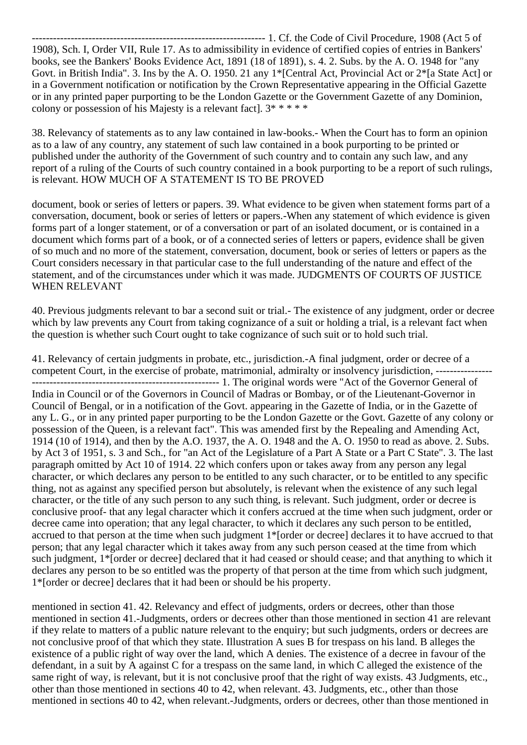------------------------------------------------------------------ 1. Cf. the Code of Civil Procedure, 1908 (Act 5 of 1908), Sch. I, Order VII, Rule 17. As to admissibility in evidence of certified copies of entries in Bankers' books, see the Bankers' Books Evidence Act, 1891 (18 of 1891), s. 4. 2. Subs. by the A. O. 1948 for "any Govt. in British India". 3. Ins by the A. O. 1950. 21 any 1\*[Central Act, Provincial Act or 2\*[a State Act] or in a Government notification or notification by the Crown Representative appearing in the Official Gazette or in any printed paper purporting to be the London Gazette or the Government Gazette of any Dominion, colony or possession of his Majesty is a relevant fact].  $3*****$ 

38. Relevancy of statements as to any law contained in law-books.- When the Court has to form an opinion as to a law of any country, any statement of such law contained in a book purporting to be printed or published under the authority of the Government of such country and to contain any such law, and any report of a ruling of the Courts of such country contained in a book purporting to be a report of such rulings, is relevant. HOW MUCH OF A STATEMENT IS TO BE PROVED

document, book or series of letters or papers. 39. What evidence to be given when statement forms part of a conversation, document, book or series of letters or papers.-When any statement of which evidence is given forms part of a longer statement, or of a conversation or part of an isolated document, or is contained in a document which forms part of a book, or of a connected series of letters or papers, evidence shall be given of so much and no more of the statement, conversation, document, book or series of letters or papers as the Court considers necessary in that particular case to the full understanding of the nature and effect of the statement, and of the circumstances under which it was made. JUDGMENTS OF COURTS OF JUSTICE WHEN RELEVANT

40. Previous judgments relevant to bar a second suit or trial.- The existence of any judgment, order or decree which by law prevents any Court from taking cognizance of a suit or holding a trial, is a relevant fact when the question is whether such Court ought to take cognizance of such suit or to hold such trial.

41. Relevancy of certain judgments in probate, etc., jurisdiction.-A final judgment, order or decree of a competent Court, in the exercise of probate, matrimonial, admiralty or insolvency jurisdiction, ---------------- ----------------------------------------------------- 1. The original words were "Act of the Governor General of India in Council or of the Governors in Council of Madras or Bombay, or of the Lieutenant-Governor in Council of Bengal, or in a notification of the Govt. appearing in the Gazette of India, or in the Gazette of any L. G., or in any printed paper purporting to be the London Gazette or the Govt. Gazette of any colony or possession of the Queen, is a relevant fact". This was amended first by the Repealing and Amending Act, 1914 (10 of 1914), and then by the A.O. 1937, the A. O. 1948 and the A. O. 1950 to read as above. 2. Subs. by Act 3 of 1951, s. 3 and Sch., for "an Act of the Legislature of a Part A State or a Part C State". 3. The last paragraph omitted by Act 10 of 1914. 22 which confers upon or takes away from any person any legal character, or which declares any person to be entitled to any such character, or to be entitled to any specific thing, not as against any specified person but absolutely, is relevant when the existence of any such legal character, or the title of any such person to any such thing, is relevant. Such judgment, order or decree is conclusive proof- that any legal character which it confers accrued at the time when such judgment, order or decree came into operation; that any legal character, to which it declares any such person to be entitled, accrued to that person at the time when such judgment 1\*[order or decree] declares it to have accrued to that person; that any legal character which it takes away from any such person ceased at the time from which such judgment, 1\*[order or decree] declared that it had ceased or should cease; and that anything to which it declares any person to be so entitled was the property of that person at the time from which such judgment, 1\*[order or decree] declares that it had been or should be his property.

mentioned in section 41. 42. Relevancy and effect of judgments, orders or decrees, other than those mentioned in section 41.-Judgments, orders or decrees other than those mentioned in section 41 are relevant if they relate to matters of a public nature relevant to the enquiry; but such judgments, orders or decrees are not conclusive proof of that which they state. Illustration A sues B for trespass on his land. B alleges the existence of a public right of way over the land, which A denies. The existence of a decree in favour of the defendant, in a suit by A against C for a trespass on the same land, in which C alleged the existence of the same right of way, is relevant, but it is not conclusive proof that the right of way exists. 43 Judgments, etc., other than those mentioned in sections 40 to 42, when relevant. 43. Judgments, etc., other than those mentioned in sections 40 to 42, when relevant.-Judgments, orders or decrees, other than those mentioned in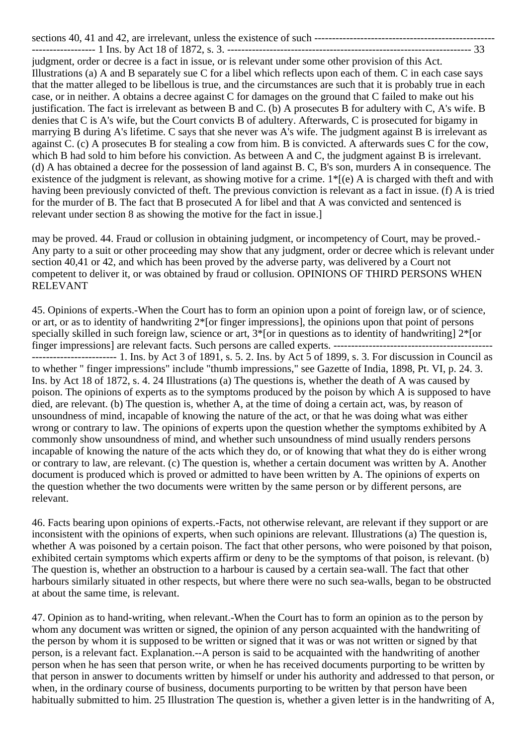sections 40, 41 and 42, are irrelevant, unless the existence of such --------------------------------------------------- ------------------ 1 Ins. by Act 18 of 1872, s. 3. -----------------------------judgment, order or decree is a fact in issue, or is relevant under some other provision of this Act. Illustrations (a) A and B separately sue C for a libel which reflects upon each of them. C in each case says that the matter alleged to be libellous is true, and the circumstances are such that it is probably true in each case, or in neither. A obtains a decree against C for damages on the ground that C failed to make out his justification. The fact is irrelevant as between B and C. (b) A prosecutes B for adultery with C, A's wife. B denies that C is A's wife, but the Court convicts B of adultery. Afterwards, C is prosecuted for bigamy in marrying B during A's lifetime. C says that she never was A's wife. The judgment against B is irrelevant as against C. (c) A prosecutes B for stealing a cow from him. B is convicted. A afterwards sues C for the cow, which B had sold to him before his conviction. As between A and C, the judgment against B is irrelevant. (d) A has obtained a decree for the possession of land against B. C, B's son, murders A in consequence. The existence of the judgment is relevant, as showing motive for a crime. 1\*[(e) A is charged with theft and with having been previously convicted of theft. The previous conviction is relevant as a fact in issue. (f) A is tried for the murder of B. The fact that B prosecuted A for libel and that A was convicted and sentenced is relevant under section 8 as showing the motive for the fact in issue.]

may be proved. 44. Fraud or collusion in obtaining judgment, or incompetency of Court, may be proved.- Any party to a suit or other proceeding may show that any judgment, order or decree which is relevant under section 40,41 or 42, and which has been proved by the adverse party, was delivered by a Court not competent to deliver it, or was obtained by fraud or collusion. OPINIONS OF THIRD PERSONS WHEN RELEVANT

45. Opinions of experts.-When the Court has to form an opinion upon a point of foreign law, or of science, or art, or as to identity of handwriting 2\*[or finger impressions], the opinions upon that point of persons specially skilled in such foreign law, science or art,  $3*$  [or in questions as to identity of handwriting]  $2*$  [or finger impressions] are relevant facts. Such persons are called experts. ---------------------------------------------  $\frac{1}{2}$ -------------- 1. Ins. by Act 3 of 1891, s. 5. 2. Ins. by Act 5 of 1899, s. 3. For discussion in Council as to whether " finger impressions" include "thumb impressions," see Gazette of India, 1898, Pt. VI, p. 24. 3. Ins. by Act 18 of 1872, s. 4. 24 Illustrations (a) The questions is, whether the death of A was caused by poison. The opinions of experts as to the symptoms produced by the poison by which A is supposed to have died, are relevant. (b) The question is, whether A, at the time of doing a certain act, was, by reason of unsoundness of mind, incapable of knowing the nature of the act, or that he was doing what was either wrong or contrary to law. The opinions of experts upon the question whether the symptoms exhibited by A commonly show unsoundness of mind, and whether such unsoundness of mind usually renders persons incapable of knowing the nature of the acts which they do, or of knowing that what they do is either wrong or contrary to law, are relevant. (c) The question is, whether a certain document was written by A. Another document is produced which is proved or admitted to have been written by A. The opinions of experts on the question whether the two documents were written by the same person or by different persons, are relevant.

46. Facts bearing upon opinions of experts.-Facts, not otherwise relevant, are relevant if they support or are inconsistent with the opinions of experts, when such opinions are relevant. Illustrations (a) The question is, whether A was poisoned by a certain poison. The fact that other persons, who were poisoned by that poison, exhibited certain symptoms which experts affirm or deny to be the symptoms of that poison, is relevant. (b) The question is, whether an obstruction to a harbour is caused by a certain sea-wall. The fact that other harbours similarly situated in other respects, but where there were no such sea-walls, began to be obstructed at about the same time, is relevant.

47. Opinion as to hand-writing, when relevant.-When the Court has to form an opinion as to the person by whom any document was written or signed, the opinion of any person acquainted with the handwriting of the person by whom it is supposed to be written or signed that it was or was not written or signed by that person, is a relevant fact. Explanation.--A person is said to be acquainted with the handwriting of another person when he has seen that person write, or when he has received documents purporting to be written by that person in answer to documents written by himself or under his authority and addressed to that person, or when, in the ordinary course of business, documents purporting to be written by that person have been habitually submitted to him. 25 Illustration The question is, whether a given letter is in the handwriting of A,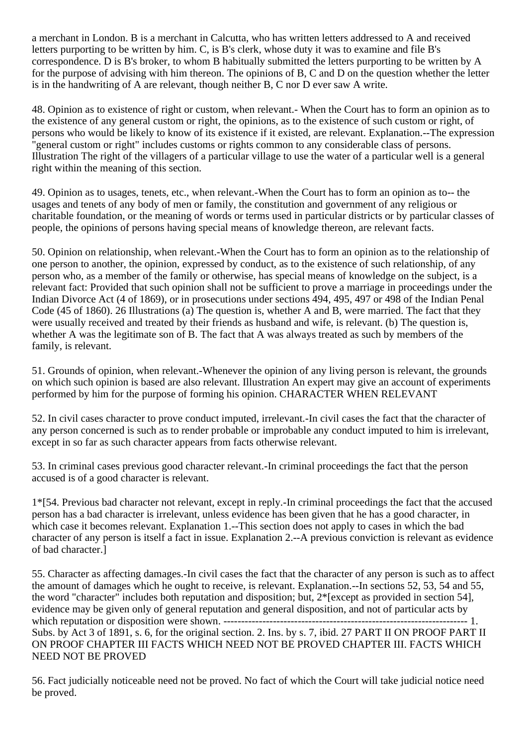a merchant in London. B is a merchant in Calcutta, who has written letters addressed to A and received letters purporting to be written by him. C, is B's clerk, whose duty it was to examine and file B's correspondence. D is B's broker, to whom B habitually submitted the letters purporting to be written by A for the purpose of advising with him thereon. The opinions of B, C and D on the question whether the letter is in the handwriting of A are relevant, though neither B, C nor D ever saw A write.

48. Opinion as to existence of right or custom, when relevant.- When the Court has to form an opinion as to the existence of any general custom or right, the opinions, as to the existence of such custom or right, of persons who would be likely to know of its existence if it existed, are relevant. Explanation.--The expression "general custom or right" includes customs or rights common to any considerable class of persons. Illustration The right of the villagers of a particular village to use the water of a particular well is a general right within the meaning of this section.

49. Opinion as to usages, tenets, etc., when relevant.-When the Court has to form an opinion as to-- the usages and tenets of any body of men or family, the constitution and government of any religious or charitable foundation, or the meaning of words or terms used in particular districts or by particular classes of people, the opinions of persons having special means of knowledge thereon, are relevant facts.

50. Opinion on relationship, when relevant.-When the Court has to form an opinion as to the relationship of one person to another, the opinion, expressed by conduct, as to the existence of such relationship, of any person who, as a member of the family or otherwise, has special means of knowledge on the subject, is a relevant fact: Provided that such opinion shall not be sufficient to prove a marriage in proceedings under the Indian Divorce Act (4 of 1869), or in prosecutions under sections 494, 495, 497 or 498 of the Indian Penal Code (45 of 1860). 26 Illustrations (a) The question is, whether A and B, were married. The fact that they were usually received and treated by their friends as husband and wife, is relevant. (b) The question is, whether A was the legitimate son of B. The fact that A was always treated as such by members of the family, is relevant.

51. Grounds of opinion, when relevant.-Whenever the opinion of any living person is relevant, the grounds on which such opinion is based are also relevant. Illustration An expert may give an account of experiments performed by him for the purpose of forming his opinion. CHARACTER WHEN RELEVANT

52. In civil cases character to prove conduct imputed, irrelevant.-In civil cases the fact that the character of any person concerned is such as to render probable or improbable any conduct imputed to him is irrelevant, except in so far as such character appears from facts otherwise relevant.

53. In criminal cases previous good character relevant.-In criminal proceedings the fact that the person accused is of a good character is relevant.

1\*[54. Previous bad character not relevant, except in reply.-In criminal proceedings the fact that the accused person has a bad character is irrelevant, unless evidence has been given that he has a good character, in which case it becomes relevant. Explanation 1.--This section does not apply to cases in which the bad character of any person is itself a fact in issue. Explanation 2.--A previous conviction is relevant as evidence of bad character.]

55. Character as affecting damages.-In civil cases the fact that the character of any person is such as to affect the amount of damages which he ought to receive, is relevant. Explanation.--In sections 52, 53, 54 and 55, the word "character" includes both reputation and disposition; but, 2\*[except as provided in section 54], evidence may be given only of general reputation and general disposition, and not of particular acts by which reputation or disposition were shown. --------------------------------------------------------------------- 1. Subs. by Act 3 of 1891, s. 6, for the original section. 2. Ins. by s. 7, ibid. 27 PART II ON PROOF PART II ON PROOF CHAPTER III FACTS WHICH NEED NOT BE PROVED CHAPTER III. FACTS WHICH NEED NOT BE PROVED

56. Fact judicially noticeable need not be proved. No fact of which the Court will take judicial notice need be proved.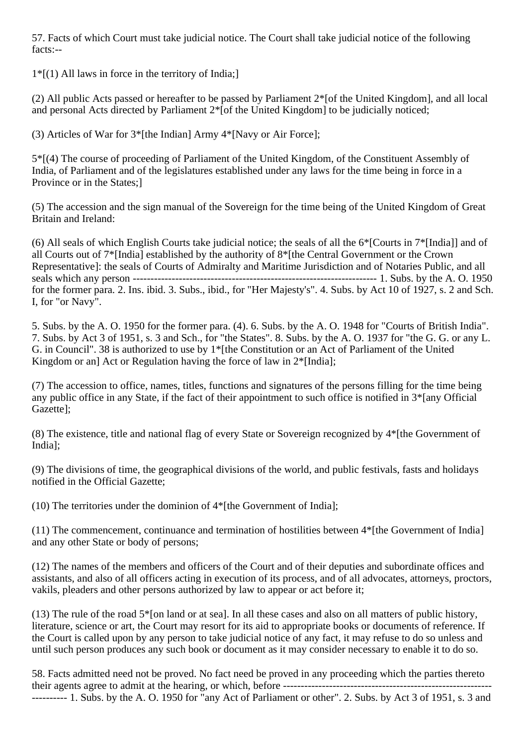57. Facts of which Court must take judicial notice. The Court shall take judicial notice of the following facts:--

 $1*$ [(1) All laws in force in the territory of India;]

(2) All public Acts passed or hereafter to be passed by Parliament 2\*[of the United Kingdom], and all local and personal Acts directed by Parliament  $2^*$  [of the United Kingdom] to be judicially noticed;

(3) Articles of War for 3\*[the Indian] Army 4\*[Navy or Air Force];

5\*[(4) The course of proceeding of Parliament of the United Kingdom, of the Constituent Assembly of India, of Parliament and of the legislatures established under any laws for the time being in force in a Province or in the States;]

(5) The accession and the sign manual of the Sovereign for the time being of the United Kingdom of Great Britain and Ireland:

(6) All seals of which English Courts take judicial notice; the seals of all the  $6*$ [Courts in 7 $*$ [India]] and of all Courts out of 7\*[India] established by the authority of 8\*[the Central Government or the Crown Representative]: the seals of Courts of Admiralty and Maritime Jurisdiction and of Notaries Public, and all seals which any person --------------------------------------------------------------------- 1. Subs. by the A. O. 1950 for the former para. 2. Ins. ibid. 3. Subs., ibid., for "Her Majesty's". 4. Subs. by Act 10 of 1927, s. 2 and Sch. I, for "or Navy".

5. Subs. by the A. O. 1950 for the former para. (4). 6. Subs. by the A. O. 1948 for "Courts of British India". 7. Subs. by Act 3 of 1951, s. 3 and Sch., for "the States". 8. Subs. by the A. O. 1937 for "the G. G. or any L. G. in Council". 38 is authorized to use by 1\*[the Constitution or an Act of Parliament of the United Kingdom or an] Act or Regulation having the force of law in  $2^*$ [India];

(7) The accession to office, names, titles, functions and signatures of the persons filling for the time being any public office in any State, if the fact of their appointment to such office is notified in 3\*[any Official Gazette];

(8) The existence, title and national flag of every State or Sovereign recognized by 4\*[the Government of India];

(9) The divisions of time, the geographical divisions of the world, and public festivals, fasts and holidays notified in the Official Gazette;

(10) The territories under the dominion of  $4*$ [the Government of India];

(11) The commencement, continuance and termination of hostilities between 4\*[the Government of India] and any other State or body of persons;

(12) The names of the members and officers of the Court and of their deputies and subordinate offices and assistants, and also of all officers acting in execution of its process, and of all advocates, attorneys, proctors, vakils, pleaders and other persons authorized by law to appear or act before it;

(13) The rule of the road 5\*[on land or at sea]. In all these cases and also on all matters of public history, literature, science or art, the Court may resort for its aid to appropriate books or documents of reference. If the Court is called upon by any person to take judicial notice of any fact, it may refuse to do so unless and until such person produces any such book or document as it may consider necessary to enable it to do so.

58. Facts admitted need not be proved. No fact need be proved in any proceeding which the parties thereto their agents agree to admit at the hearing, or which, before ----------------------------------------------------------- ---------- 1. Subs. by the A. O. 1950 for "any Act of Parliament or other". 2. Subs. by Act 3 of 1951, s. 3 and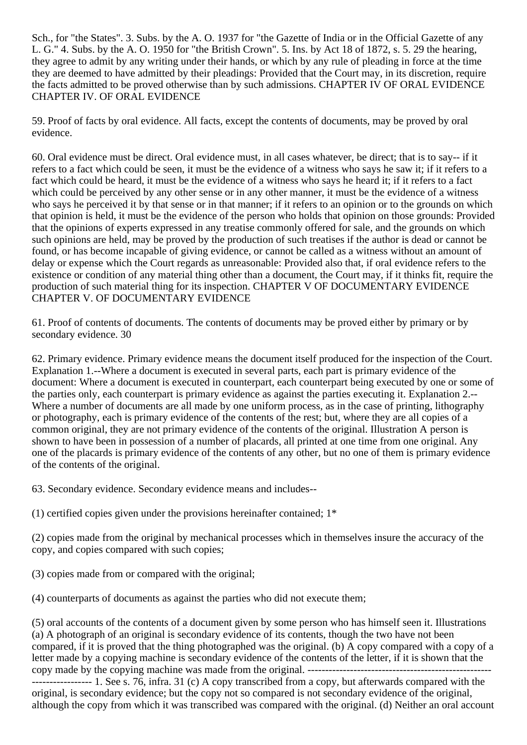Sch., for "the States". 3. Subs. by the A. O. 1937 for "the Gazette of India or in the Official Gazette of any L. G." 4. Subs. by the A. O. 1950 for "the British Crown". 5. Ins. by Act 18 of 1872, s. 5. 29 the hearing, they agree to admit by any writing under their hands, or which by any rule of pleading in force at the time they are deemed to have admitted by their pleadings: Provided that the Court may, in its discretion, require the facts admitted to be proved otherwise than by such admissions. CHAPTER IV OF ORAL EVIDENCE CHAPTER IV. OF ORAL EVIDENCE

59. Proof of facts by oral evidence. All facts, except the contents of documents, may be proved by oral evidence.

60. Oral evidence must be direct. Oral evidence must, in all cases whatever, be direct; that is to say-- if it refers to a fact which could be seen, it must be the evidence of a witness who says he saw it; if it refers to a fact which could be heard, it must be the evidence of a witness who says he heard it; if it refers to a fact which could be perceived by any other sense or in any other manner, it must be the evidence of a witness who says he perceived it by that sense or in that manner; if it refers to an opinion or to the grounds on which that opinion is held, it must be the evidence of the person who holds that opinion on those grounds: Provided that the opinions of experts expressed in any treatise commonly offered for sale, and the grounds on which such opinions are held, may be proved by the production of such treatises if the author is dead or cannot be found, or has become incapable of giving evidence, or cannot be called as a witness without an amount of delay or expense which the Court regards as unreasonable: Provided also that, if oral evidence refers to the existence or condition of any material thing other than a document, the Court may, if it thinks fit, require the production of such material thing for its inspection. CHAPTER V OF DOCUMENTARY EVIDENCE CHAPTER V. OF DOCUMENTARY EVIDENCE

61. Proof of contents of documents. The contents of documents may be proved either by primary or by secondary evidence. 30

62. Primary evidence. Primary evidence means the document itself produced for the inspection of the Court. Explanation 1.--Where a document is executed in several parts, each part is primary evidence of the document: Where a document is executed in counterpart, each counterpart being executed by one or some of the parties only, each counterpart is primary evidence as against the parties executing it. Explanation 2.-- Where a number of documents are all made by one uniform process, as in the case of printing, lithography or photography, each is primary evidence of the contents of the rest; but, where they are all copies of a common original, they are not primary evidence of the contents of the original. Illustration A person is shown to have been in possession of a number of placards, all printed at one time from one original. Any one of the placards is primary evidence of the contents of any other, but no one of them is primary evidence of the contents of the original.

63. Secondary evidence. Secondary evidence means and includes--

(1) certified copies given under the provisions hereinafter contained; 1\*

(2) copies made from the original by mechanical processes which in themselves insure the accuracy of the copy, and copies compared with such copies;

(3) copies made from or compared with the original;

(4) counterparts of documents as against the parties who did not execute them;

(5) oral accounts of the contents of a document given by some person who has himself seen it. Illustrations (a) A photograph of an original is secondary evidence of its contents, though the two have not been compared, if it is proved that the thing photographed was the original. (b) A copy compared with a copy of a letter made by a copying machine is secondary evidence of the contents of the letter, if it is shown that the copy made by the copying machine was made from the original. ----------------------------------------------------

----------------- 1. See s. 76, infra. 31 (c) A copy transcribed from a copy, but afterwards compared with the original, is secondary evidence; but the copy not so compared is not secondary evidence of the original, although the copy from which it was transcribed was compared with the original. (d) Neither an oral account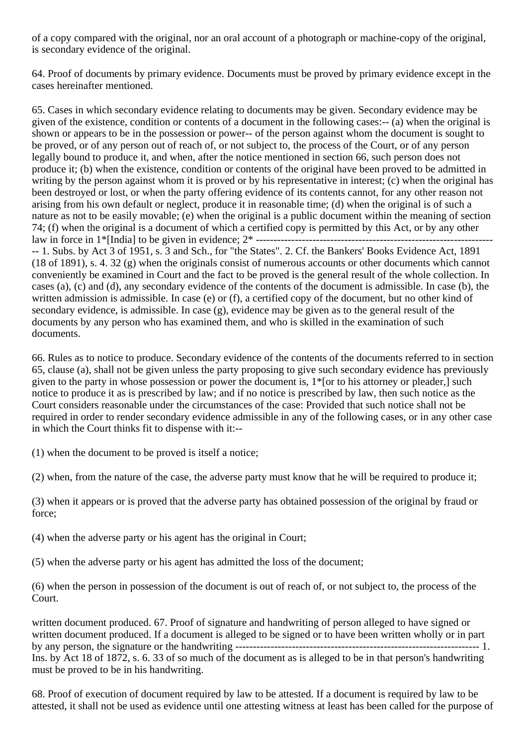of a copy compared with the original, nor an oral account of a photograph or machine-copy of the original, is secondary evidence of the original.

64. Proof of documents by primary evidence. Documents must be proved by primary evidence except in the cases hereinafter mentioned.

65. Cases in which secondary evidence relating to documents may be given. Secondary evidence may be given of the existence, condition or contents of a document in the following cases:-- (a) when the original is shown or appears to be in the possession or power-- of the person against whom the document is sought to be proved, or of any person out of reach of, or not subject to, the process of the Court, or of any person legally bound to produce it, and when, after the notice mentioned in section 66, such person does not produce it; (b) when the existence, condition or contents of the original have been proved to be admitted in writing by the person against whom it is proved or by his representative in interest; (c) when the original has been destroyed or lost, or when the party offering evidence of its contents cannot, for any other reason not arising from his own default or neglect, produce it in reasonable time; (d) when the original is of such a nature as not to be easily movable; (e) when the original is a public document within the meaning of section 74; (f) when the original is a document of which a certified copy is permitted by this Act, or by any other law in force in 1\*[India] to be given in evidence; 2\* ------------------------------------------------------------------- -- 1. Subs. by Act 3 of 1951, s. 3 and Sch., for "the States". 2. Cf. the Bankers' Books Evidence Act, 1891 (18 of 1891), s. 4. 32 (g) when the originals consist of numerous accounts or other documents which cannot conveniently be examined in Court and the fact to be proved is the general result of the whole collection. In cases (a), (c) and (d), any secondary evidence of the contents of the document is admissible. In case (b), the written admission is admissible. In case (e) or (f), a certified copy of the document, but no other kind of secondary evidence, is admissible. In case (g), evidence may be given as to the general result of the documents by any person who has examined them, and who is skilled in the examination of such documents.

66. Rules as to notice to produce. Secondary evidence of the contents of the documents referred to in section 65, clause (a), shall not be given unless the party proposing to give such secondary evidence has previously given to the party in whose possession or power the document is, 1\*[or to his attorney or pleader,] such notice to produce it as is prescribed by law; and if no notice is prescribed by law, then such notice as the Court considers reasonable under the circumstances of the case: Provided that such notice shall not be required in order to render secondary evidence admissible in any of the following cases, or in any other case in which the Court thinks fit to dispense with it:--

(1) when the document to be proved is itself a notice;

(2) when, from the nature of the case, the adverse party must know that he will be required to produce it;

(3) when it appears or is proved that the adverse party has obtained possession of the original by fraud or force;

(4) when the adverse party or his agent has the original in Court;

(5) when the adverse party or his agent has admitted the loss of the document;

(6) when the person in possession of the document is out of reach of, or not subject to, the process of the Court.

written document produced. 67. Proof of signature and handwriting of person alleged to have signed or written document produced. If a document is alleged to be signed or to have been written wholly or in part by any person, the signature or the handwriting --------------------------------------------------------------------- 1. Ins. by Act 18 of 1872, s. 6. 33 of so much of the document as is alleged to be in that person's handwriting must be proved to be in his handwriting.

68. Proof of execution of document required by law to be attested. If a document is required by law to be attested, it shall not be used as evidence until one attesting witness at least has been called for the purpose of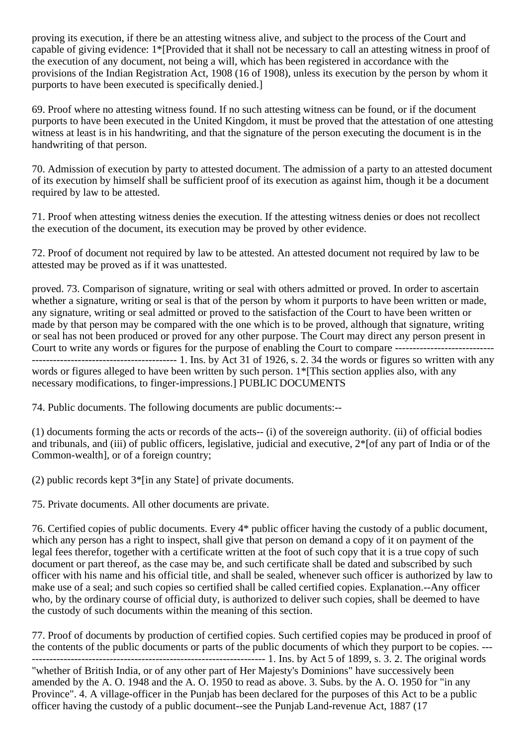proving its execution, if there be an attesting witness alive, and subject to the process of the Court and capable of giving evidence: 1\*[Provided that it shall not be necessary to call an attesting witness in proof of the execution of any document, not being a will, which has been registered in accordance with the provisions of the Indian Registration Act, 1908 (16 of 1908), unless its execution by the person by whom it purports to have been executed is specifically denied.]

69. Proof where no attesting witness found. If no such attesting witness can be found, or if the document purports to have been executed in the United Kingdom, it must be proved that the attestation of one attesting witness at least is in his handwriting, and that the signature of the person executing the document is in the handwriting of that person.

70. Admission of execution by party to attested document. The admission of a party to an attested document of its execution by himself shall be sufficient proof of its execution as against him, though it be a document required by law to be attested.

71. Proof when attesting witness denies the execution. If the attesting witness denies or does not recollect the execution of the document, its execution may be proved by other evidence.

72. Proof of document not required by law to be attested. An attested document not required by law to be attested may be proved as if it was unattested.

proved. 73. Comparison of signature, writing or seal with others admitted or proved. In order to ascertain whether a signature, writing or seal is that of the person by whom it purports to have been written or made, any signature, writing or seal admitted or proved to the satisfaction of the Court to have been written or made by that person may be compared with the one which is to be proved, although that signature, writing or seal has not been produced or proved for any other purpose. The Court may direct any person present in Court to write any words or figures for the purpose of enabling the Court to compare ---------------------------- ----------------------------------------- 1. Ins. by Act 31 of 1926, s. 2. 34 the words or figures so written with any words or figures alleged to have been written by such person. 1\*[This section applies also, with any necessary modifications, to finger-impressions.] PUBLIC DOCUMENTS

74. Public documents. The following documents are public documents:--

(1) documents forming the acts or records of the acts-- (i) of the sovereign authority. (ii) of official bodies and tribunals, and (iii) of public officers, legislative, judicial and executive,  $2*$  [of any part of India or of the Common-wealth], or of a foreign country;

(2) public records kept 3\*[in any State] of private documents.

75. Private documents. All other documents are private.

76. Certified copies of public documents. Every 4\* public officer having the custody of a public document, which any person has a right to inspect, shall give that person on demand a copy of it on payment of the legal fees therefor, together with a certificate written at the foot of such copy that it is a true copy of such document or part thereof, as the case may be, and such certificate shall be dated and subscribed by such officer with his name and his official title, and shall be sealed, whenever such officer is authorized by law to make use of a seal; and such copies so certified shall be called certified copies. Explanation.--Any officer who, by the ordinary course of official duty, is authorized to deliver such copies, shall be deemed to have the custody of such documents within the meaning of this section.

77. Proof of documents by production of certified copies. Such certified copies may be produced in proof of the contents of the public documents or parts of the public documents of which they purport to be copies. --- ------------------------------------------------------------------ 1. Ins. by Act 5 of 1899, s. 3. 2. The original words "whether of British India, or of any other part of Her Majesty's Dominions" have successively been amended by the A. O. 1948 and the A. O. 1950 to read as above. 3. Subs. by the A. O. 1950 for "in any Province". 4. A village-officer in the Punjab has been declared for the purposes of this Act to be a public officer having the custody of a public document--see the Punjab Land-revenue Act, 1887 (17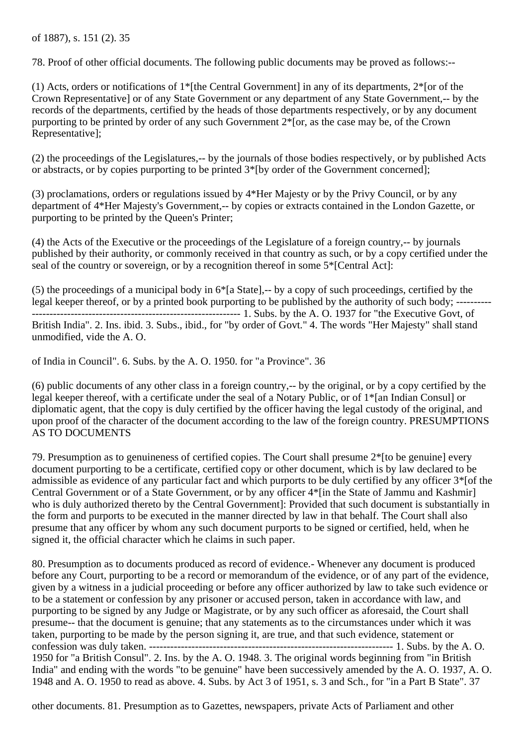of 1887), s. 151 (2). 35

78. Proof of other official documents. The following public documents may be proved as follows:--

(1) Acts, orders or notifications of  $1*$ [the Central Government] in any of its departments,  $2*$ [or of the Crown Representative] or of any State Government or any department of any State Government,-- by the records of the departments, certified by the heads of those departments respectively, or by any document purporting to be printed by order of any such Government 2\*[or, as the case may be, of the Crown Representative];

(2) the proceedings of the Legislatures,-- by the journals of those bodies respectively, or by published Acts or abstracts, or by copies purporting to be printed 3\*[by order of the Government concerned];

(3) proclamations, orders or regulations issued by 4\*Her Majesty or by the Privy Council, or by any department of 4\*Her Majesty's Government,-- by copies or extracts contained in the London Gazette, or purporting to be printed by the Queen's Printer;

(4) the Acts of the Executive or the proceedings of the Legislature of a foreign country,-- by journals published by their authority, or commonly received in that country as such, or by a copy certified under the seal of the country or sovereign, or by a recognition thereof in some  $5^*$ [Central Act]:

(5) the proceedings of a municipal body in  $6*$ [a State],-- by a copy of such proceedings, certified by the legal keeper thereof, or by a printed book purporting to be published by the authority of such body; ---------- ----------------------------------------------------------- 1. Subs. by the A. O. 1937 for "the Executive Govt, of British India". 2. Ins. ibid. 3. Subs., ibid., for "by order of Govt." 4. The words "Her Majesty" shall stand unmodified, vide the A. O.

of India in Council". 6. Subs. by the A. O. 1950. for "a Province". 36

(6) public documents of any other class in a foreign country,-- by the original, or by a copy certified by the legal keeper thereof, with a certificate under the seal of a Notary Public, or of 1\*[an Indian Consul] or diplomatic agent, that the copy is duly certified by the officer having the legal custody of the original, and upon proof of the character of the document according to the law of the foreign country. PRESUMPTIONS AS TO DOCUMENTS

79. Presumption as to genuineness of certified copies. The Court shall presume 2\*[to be genuine] every document purporting to be a certificate, certified copy or other document, which is by law declared to be admissible as evidence of any particular fact and which purports to be duly certified by any officer  $3*$  [of the Central Government or of a State Government, or by any officer 4\*[in the State of Jammu and Kashmir] who is duly authorized thereto by the Central Government]: Provided that such document is substantially in the form and purports to be executed in the manner directed by law in that behalf. The Court shall also presume that any officer by whom any such document purports to be signed or certified, held, when he signed it, the official character which he claims in such paper.

80. Presumption as to documents produced as record of evidence.- Whenever any document is produced before any Court, purporting to be a record or memorandum of the evidence, or of any part of the evidence, given by a witness in a judicial proceeding or before any officer authorized by law to take such evidence or to be a statement or confession by any prisoner or accused person, taken in accordance with law, and purporting to be signed by any Judge or Magistrate, or by any such officer as aforesaid, the Court shall presume-- that the document is genuine; that any statements as to the circumstances under which it was taken, purporting to be made by the person signing it, are true, and that such evidence, statement or  $\frac{1}{2}$  Subs. by the A. O. 1950 for "a British Consul". 2. Ins. by the A. O. 1948. 3. The original words beginning from "in British India" and ending with the words "to be genuine" have been successively amended by the A. O. 1937, A. O. 1948 and A. O. 1950 to read as above. 4. Subs. by Act 3 of 1951, s. 3 and Sch., for "in a Part B State". 37

other documents. 81. Presumption as to Gazettes, newspapers, private Acts of Parliament and other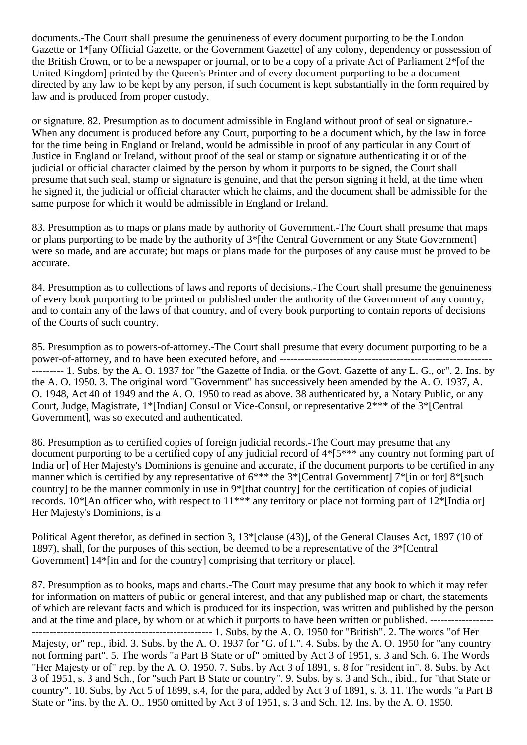documents.-The Court shall presume the genuineness of every document purporting to be the London Gazette or 1\*[any Official Gazette, or the Government Gazette] of any colony, dependency or possession of the British Crown, or to be a newspaper or journal, or to be a copy of a private Act of Parliament 2\*[of the United Kingdom] printed by the Queen's Printer and of every document purporting to be a document directed by any law to be kept by any person, if such document is kept substantially in the form required by law and is produced from proper custody.

or signature. 82. Presumption as to document admissible in England without proof of seal or signature.- When any document is produced before any Court, purporting to be a document which, by the law in force for the time being in England or Ireland, would be admissible in proof of any particular in any Court of Justice in England or Ireland, without proof of the seal or stamp or signature authenticating it or of the judicial or official character claimed by the person by whom it purports to be signed, the Court shall presume that such seal, stamp or signature is genuine, and that the person signing it held, at the time when he signed it, the judicial or official character which he claims, and the document shall be admissible for the same purpose for which it would be admissible in England or Ireland.

83. Presumption as to maps or plans made by authority of Government.-The Court shall presume that maps or plans purporting to be made by the authority of 3\*[the Central Government or any State Government] were so made, and are accurate; but maps or plans made for the purposes of any cause must be proved to be accurate.

84. Presumption as to collections of laws and reports of decisions.-The Court shall presume the genuineness of every book purporting to be printed or published under the authority of the Government of any country, and to contain any of the laws of that country, and of every book purporting to contain reports of decisions of the Courts of such country.

85. Presumption as to powers-of-attorney.-The Court shall presume that every document purporting to be a power-of-attorney, and to have been executed before, and --------------------------------------- 1. Subs. by the A. O. 1937 for "the Gazette of India. or the Govt. Gazette of any L. G., or". 2. Ins. by the A. O. 1950. 3. The original word "Government" has successively been amended by the A. O. 1937, A. O. 1948, Act 40 of 1949 and the A. O. 1950 to read as above. 38 authenticated by, a Notary Public, or any Court, Judge, Magistrate, 1\*[Indian] Consul or Vice-Consul, or representative 2\*\*\* of the 3\*[Central Government], was so executed and authenticated.

86. Presumption as to certified copies of foreign judicial records.-The Court may presume that any document purporting to be a certified copy of any judicial record of 4\*[5\*\*\* any country not forming part of India or] of Her Majesty's Dominions is genuine and accurate, if the document purports to be certified in any manner which is certified by any representative of  $6***$  the  $3*$ [Central Government]  $7*$ [in or for]  $8*$ [such country] to be the manner commonly in use in 9\*[that country] for the certification of copies of judicial records. 10\*[An officer who, with respect to  $11***$  any territory or place not forming part of  $12*$ [India or] Her Majesty's Dominions, is a

Political Agent therefor, as defined in section 3, 13\*[clause (43)], of the General Clauses Act, 1897 (10 of 1897), shall, for the purposes of this section, be deemed to be a representative of the  $3*$ [Central] Government] 14<sup>\*</sup>[in and for the country] comprising that territory or place].

87. Presumption as to books, maps and charts.-The Court may presume that any book to which it may refer for information on matters of public or general interest, and that any published map or chart, the statements of which are relevant facts and which is produced for its inspection, was written and published by the person and at the time and place, by whom or at which it purports to have been written or published. ------------------ --------------------------------------------------- 1. Subs. by the A. O. 1950 for "British". 2. The words "of Her Majesty, or" rep., ibid. 3. Subs. by the A. O. 1937 for "G. of I.". 4. Subs. by the A. O. 1950 for "any country not forming part". 5. The words "a Part B State or of" omitted by Act 3 of 1951, s. 3 and Sch. 6. The Words "Her Majesty or of" rep. by the A. O. 1950. 7. Subs. by Act 3 of 1891, s. 8 for "resident in". 8. Subs. by Act 3 of 1951, s. 3 and Sch., for "such Part B State or country". 9. Subs. by s. 3 and Sch., ibid., for "that State or country". 10. Subs, by Act 5 of 1899, s.4, for the para, added by Act 3 of 1891, s. 3. 11. The words "a Part B State or "ins. by the A. O.. 1950 omitted by Act 3 of 1951, s. 3 and Sch. 12. Ins. by the A. O. 1950.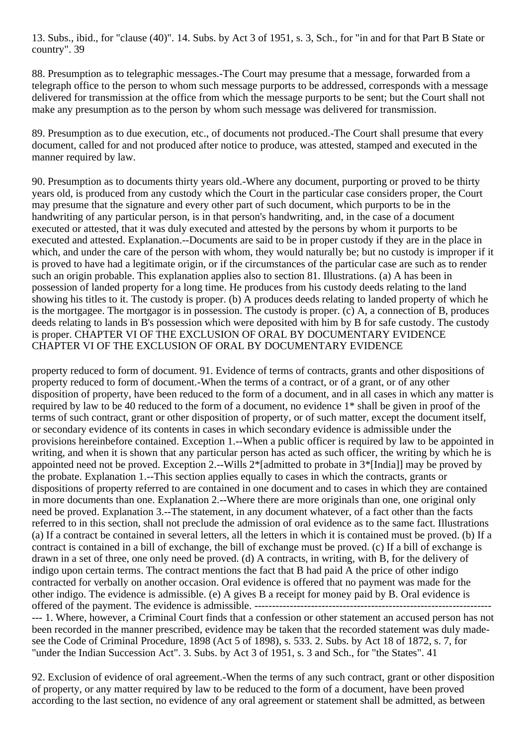13. Subs., ibid., for "clause (40)". 14. Subs. by Act 3 of 1951, s. 3, Sch., for "in and for that Part B State or country". 39

88. Presumption as to telegraphic messages.-The Court may presume that a message, forwarded from a telegraph office to the person to whom such message purports to be addressed, corresponds with a message delivered for transmission at the office from which the message purports to be sent; but the Court shall not make any presumption as to the person by whom such message was delivered for transmission.

89. Presumption as to due execution, etc., of documents not produced.-The Court shall presume that every document, called for and not produced after notice to produce, was attested, stamped and executed in the manner required by law.

90. Presumption as to documents thirty years old.-Where any document, purporting or proved to be thirty years old, is produced from any custody which the Court in the particular case considers proper, the Court may presume that the signature and every other part of such document, which purports to be in the handwriting of any particular person, is in that person's handwriting, and, in the case of a document executed or attested, that it was duly executed and attested by the persons by whom it purports to be executed and attested. Explanation.--Documents are said to be in proper custody if they are in the place in which, and under the care of the person with whom, they would naturally be; but no custody is improper if it is proved to have had a legitimate origin, or if the circumstances of the particular case are such as to render such an origin probable. This explanation applies also to section 81. Illustrations. (a) A has been in possession of landed property for a long time. He produces from his custody deeds relating to the land showing his titles to it. The custody is proper. (b) A produces deeds relating to landed property of which he is the mortgagee. The mortgagor is in possession. The custody is proper. (c) A, a connection of B, produces deeds relating to lands in B's possession which were deposited with him by B for safe custody. The custody is proper. CHAPTER VI OF THE EXCLUSION OF ORAL BY DOCUMENTARY EVIDENCE CHAPTER VI OF THE EXCLUSION OF ORAL BY DOCUMENTARY EVIDENCE

property reduced to form of document. 91. Evidence of terms of contracts, grants and other dispositions of property reduced to form of document.-When the terms of a contract, or of a grant, or of any other disposition of property, have been reduced to the form of a document, and in all cases in which any matter is required by law to be 40 reduced to the form of a document, no evidence 1\* shall be given in proof of the terms of such contract, grant or other disposition of property, or of such matter, except the document itself, or secondary evidence of its contents in cases in which secondary evidence is admissible under the provisions hereinbefore contained. Exception 1.--When a public officer is required by law to be appointed in writing, and when it is shown that any particular person has acted as such officer, the writing by which he is appointed need not be proved. Exception 2.--Wills 2\*[admitted to probate in 3\*[India]] may be proved by the probate. Explanation 1.--This section applies equally to cases in which the contracts, grants or dispositions of property referred to are contained in one document and to cases in which they are contained in more documents than one. Explanation 2.--Where there are more originals than one, one original only need be proved. Explanation 3.--The statement, in any document whatever, of a fact other than the facts referred to in this section, shall not preclude the admission of oral evidence as to the same fact. Illustrations (a) If a contract be contained in several letters, all the letters in which it is contained must be proved. (b) If a contract is contained in a bill of exchange, the bill of exchange must be proved. (c) If a bill of exchange is drawn in a set of three, one only need be proved. (d) A contracts, in writing, with B, for the delivery of indigo upon certain terms. The contract mentions the fact that B had paid A the price of other indigo contracted for verbally on another occasion. Oral evidence is offered that no payment was made for the other indigo. The evidence is admissible. (e) A gives B a receipt for money paid by B. Oral evidence is offered of the payment. The evidence is admissible. ------------------------------------------------------------------- --- 1. Where, however, a Criminal Court finds that a confession or other statement an accused person has not been recorded in the manner prescribed, evidence may be taken that the recorded statement was duly madesee the Code of Criminal Procedure, 1898 (Act 5 of 1898), s. 533. 2. Subs. by Act 18 of 1872, s. 7, for "under the Indian Succession Act". 3. Subs. by Act 3 of 1951, s. 3 and Sch., for "the States". 41

92. Exclusion of evidence of oral agreement.-When the terms of any such contract, grant or other disposition of property, or any matter required by law to be reduced to the form of a document, have been proved according to the last section, no evidence of any oral agreement or statement shall be admitted, as between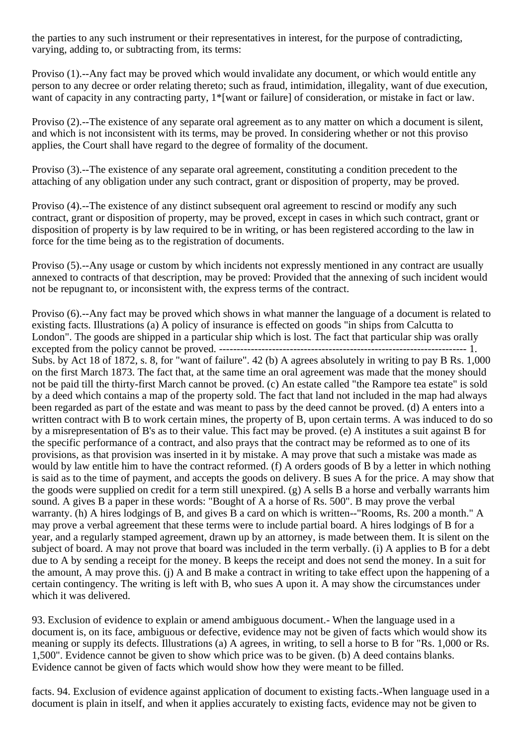the parties to any such instrument or their representatives in interest, for the purpose of contradicting, varying, adding to, or subtracting from, its terms:

Proviso (1).--Any fact may be proved which would invalidate any document, or which would entitle any person to any decree or order relating thereto; such as fraud, intimidation, illegality, want of due execution, want of capacity in any contracting party,  $1$ <sup>\*</sup>[want or failure] of consideration, or mistake in fact or law.

Proviso (2).--The existence of any separate oral agreement as to any matter on which a document is silent, and which is not inconsistent with its terms, may be proved. In considering whether or not this proviso applies, the Court shall have regard to the degree of formality of the document.

Proviso (3).--The existence of any separate oral agreement, constituting a condition precedent to the attaching of any obligation under any such contract, grant or disposition of property, may be proved.

Proviso (4).--The existence of any distinct subsequent oral agreement to rescind or modify any such contract, grant or disposition of property, may be proved, except in cases in which such contract, grant or disposition of property is by law required to be in writing, or has been registered according to the law in force for the time being as to the registration of documents.

Proviso (5).--Any usage or custom by which incidents not expressly mentioned in any contract are usually annexed to contracts of that description, may be proved: Provided that the annexing of such incident would not be repugnant to, or inconsistent with, the express terms of the contract.

Proviso (6).--Any fact may be proved which shows in what manner the language of a document is related to existing facts. Illustrations (a) A policy of insurance is effected on goods "in ships from Calcutta to London". The goods are shipped in a particular ship which is lost. The fact that particular ship was orally excepted from the policy cannot be proved. ---------------------------------------------------------------------- 1. Subs. by Act 18 of 1872, s. 8, for "want of failure". 42 (b) A agrees absolutely in writing to pay B Rs. 1,000 on the first March 1873. The fact that, at the same time an oral agreement was made that the money should not be paid till the thirty-first March cannot be proved. (c) An estate called "the Rampore tea estate" is sold by a deed which contains a map of the property sold. The fact that land not included in the map had always been regarded as part of the estate and was meant to pass by the deed cannot be proved. (d) A enters into a written contract with B to work certain mines, the property of B, upon certain terms. A was induced to do so by a misrepresentation of B's as to their value. This fact may be proved. (e) A institutes a suit against B for the specific performance of a contract, and also prays that the contract may be reformed as to one of its provisions, as that provision was inserted in it by mistake. A may prove that such a mistake was made as would by law entitle him to have the contract reformed. (f) A orders goods of B by a letter in which nothing is said as to the time of payment, and accepts the goods on delivery. B sues A for the price. A may show that the goods were supplied on credit for a term still unexpired. (g) A sells B a horse and verbally warrants him sound. A gives B a paper in these words: "Bought of A a horse of Rs. 500". B may prove the verbal warranty. (h) A hires lodgings of B, and gives B a card on which is written--"Rooms, Rs. 200 a month." A may prove a verbal agreement that these terms were to include partial board. A hires lodgings of B for a year, and a regularly stamped agreement, drawn up by an attorney, is made between them. It is silent on the subject of board. A may not prove that board was included in the term verbally. (i) A applies to B for a debt due to A by sending a receipt for the money. B keeps the receipt and does not send the money. In a suit for the amount, A may prove this. (j) A and B make a contract in writing to take effect upon the happening of a certain contingency. The writing is left with B, who sues A upon it. A may show the circumstances under which it was delivered.

93. Exclusion of evidence to explain or amend ambiguous document.- When the language used in a document is, on its face, ambiguous or defective, evidence may not be given of facts which would show its meaning or supply its defects. Illustrations (a) A agrees, in writing, to sell a horse to B for "Rs. 1,000 or Rs. 1,500". Evidence cannot be given to show which price was to be given. (b) A deed contains blanks. Evidence cannot be given of facts which would show how they were meant to be filled.

facts. 94. Exclusion of evidence against application of document to existing facts.-When language used in a document is plain in itself, and when it applies accurately to existing facts, evidence may not be given to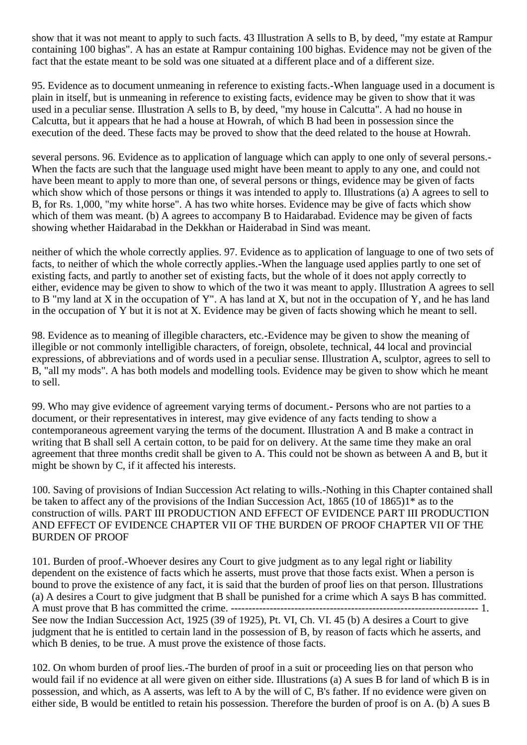show that it was not meant to apply to such facts. 43 Illustration A sells to B, by deed, "my estate at Rampur containing 100 bighas". A has an estate at Rampur containing 100 bighas. Evidence may not be given of the fact that the estate meant to be sold was one situated at a different place and of a different size.

95. Evidence as to document unmeaning in reference to existing facts.-When language used in a document is plain in itself, but is unmeaning in reference to existing facts, evidence may be given to show that it was used in a peculiar sense. Illustration A sells to B, by deed, "my house in Calcutta". A had no house in Calcutta, but it appears that he had a house at Howrah, of which B had been in possession since the execution of the deed. These facts may be proved to show that the deed related to the house at Howrah.

several persons. 96. Evidence as to application of language which can apply to one only of several persons.- When the facts are such that the language used might have been meant to apply to any one, and could not have been meant to apply to more than one, of several persons or things, evidence may be given of facts which show which of those persons or things it was intended to apply to. Illustrations (a) A agrees to sell to B, for Rs. 1,000, "my white horse". A has two white horses. Evidence may be give of facts which show which of them was meant. (b) A agrees to accompany B to Haidarabad. Evidence may be given of facts showing whether Haidarabad in the Dekkhan or Haiderabad in Sind was meant.

neither of which the whole correctly applies. 97. Evidence as to application of language to one of two sets of facts, to neither of which the whole correctly applies.-When the language used applies partly to one set of existing facts, and partly to another set of existing facts, but the whole of it does not apply correctly to either, evidence may be given to show to which of the two it was meant to apply. Illustration A agrees to sell to B "my land at X in the occupation of Y". A has land at X, but not in the occupation of Y, and he has land in the occupation of Y but it is not at X. Evidence may be given of facts showing which he meant to sell.

98. Evidence as to meaning of illegible characters, etc.-Evidence may be given to show the meaning of illegible or not commonly intelligible characters, of foreign, obsolete, technical, 44 local and provincial expressions, of abbreviations and of words used in a peculiar sense. Illustration A, sculptor, agrees to sell to B, "all my mods". A has both models and modelling tools. Evidence may be given to show which he meant to sell.

99. Who may give evidence of agreement varying terms of document.- Persons who are not parties to a document, or their representatives in interest, may give evidence of any facts tending to show a contemporaneous agreement varying the terms of the document. Illustration A and B make a contract in writing that B shall sell A certain cotton, to be paid for on delivery. At the same time they make an oral agreement that three months credit shall be given to A. This could not be shown as between A and B, but it might be shown by C, if it affected his interests.

100. Saving of provisions of Indian Succession Act relating to wills.-Nothing in this Chapter contained shall be taken to affect any of the provisions of the Indian Succession Act, 1865 (10 of 1865)1\* as to the construction of wills. PART III PRODUCTION AND EFFECT OF EVIDENCE PART III PRODUCTION AND EFFECT OF EVIDENCE CHAPTER VII OF THE BURDEN OF PROOF CHAPTER VII OF THE BURDEN OF PROOF

101. Burden of proof.-Whoever desires any Court to give judgment as to any legal right or liability dependent on the existence of facts which he asserts, must prove that those facts exist. When a person is bound to prove the existence of any fact, it is said that the burden of proof lies on that person. Illustrations (a) A desires a Court to give judgment that B shall be punished for a crime which A says B has committed. A must prove that B has committed the crime. ---------------------------------------------------------------------- 1. See now the Indian Succession Act, 1925 (39 of 1925), Pt. VI, Ch. VI. 45 (b) A desires a Court to give judgment that he is entitled to certain land in the possession of B, by reason of facts which he asserts, and which B denies, to be true. A must prove the existence of those facts.

102. On whom burden of proof lies.-The burden of proof in a suit or proceeding lies on that person who would fail if no evidence at all were given on either side. Illustrations (a) A sues B for land of which B is in possession, and which, as A asserts, was left to A by the will of C, B's father. If no evidence were given on either side, B would be entitled to retain his possession. Therefore the burden of proof is on A. (b) A sues B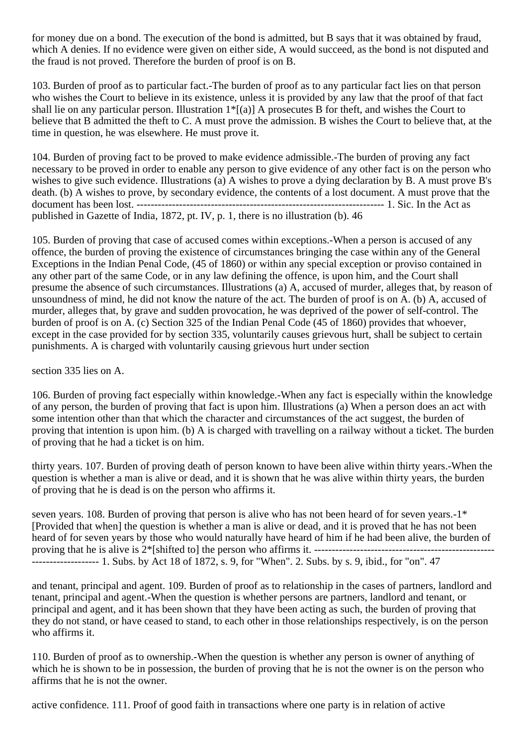for money due on a bond. The execution of the bond is admitted, but B says that it was obtained by fraud, which A denies. If no evidence were given on either side, A would succeed, as the bond is not disputed and the fraud is not proved. Therefore the burden of proof is on B.

103. Burden of proof as to particular fact.-The burden of proof as to any particular fact lies on that person who wishes the Court to believe in its existence, unless it is provided by any law that the proof of that fact shall lie on any particular person. Illustration  $1^*$ [(a)] A prosecutes B for theft, and wishes the Court to believe that B admitted the theft to C. A must prove the admission. B wishes the Court to believe that, at the time in question, he was elsewhere. He must prove it.

104. Burden of proving fact to be proved to make evidence admissible.-The burden of proving any fact necessary to be proved in order to enable any person to give evidence of any other fact is on the person who wishes to give such evidence. Illustrations (a) A wishes to prove a dying declaration by B. A must prove B's death. (b) A wishes to prove, by secondary evidence, the contents of a lost document. A must prove that the document has been lost. ---------------------------------------------------------------------- 1. Sic. In the Act as published in Gazette of India, 1872, pt. IV, p. 1, there is no illustration (b). 46

105. Burden of proving that case of accused comes within exceptions.-When a person is accused of any offence, the burden of proving the existence of circumstances bringing the case within any of the General Exceptions in the Indian Penal Code, (45 of 1860) or within any special exception or proviso contained in any other part of the same Code, or in any law defining the offence, is upon him, and the Court shall presume the absence of such circumstances. Illustrations (a) A, accused of murder, alleges that, by reason of unsoundness of mind, he did not know the nature of the act. The burden of proof is on A. (b) A, accused of murder, alleges that, by grave and sudden provocation, he was deprived of the power of self-control. The burden of proof is on A. (c) Section 325 of the Indian Penal Code (45 of 1860) provides that whoever, except in the case provided for by section 335, voluntarily causes grievous hurt, shall be subject to certain punishments. A is charged with voluntarily causing grievous hurt under section

## section 335 lies on A.

106. Burden of proving fact especially within knowledge.-When any fact is especially within the knowledge of any person, the burden of proving that fact is upon him. Illustrations (a) When a person does an act with some intention other than that which the character and circumstances of the act suggest, the burden of proving that intention is upon him. (b) A is charged with travelling on a railway without a ticket. The burden of proving that he had a ticket is on him.

thirty years. 107. Burden of proving death of person known to have been alive within thirty years.-When the question is whether a man is alive or dead, and it is shown that he was alive within thirty years, the burden of proving that he is dead is on the person who affirms it.

seven years. 108. Burden of proving that person is alive who has not been heard of for seven years.  $1^*$ [Provided that when] the question is whether a man is alive or dead, and it is proved that he has not been heard of for seven years by those who would naturally have heard of him if he had been alive, the burden of proving that he is alive is 2\*[shifted to] the person who affirms it. --------------------------------------------------- ------------------- 1. Subs. by Act 18 of 1872, s. 9, for "When". 2. Subs. by s. 9, ibid., for "on". 47

and tenant, principal and agent. 109. Burden of proof as to relationship in the cases of partners, landlord and tenant, principal and agent.-When the question is whether persons are partners, landlord and tenant, or principal and agent, and it has been shown that they have been acting as such, the burden of proving that they do not stand, or have ceased to stand, to each other in those relationships respectively, is on the person who affirms it.

110. Burden of proof as to ownership.-When the question is whether any person is owner of anything of which he is shown to be in possession, the burden of proving that he is not the owner is on the person who affirms that he is not the owner.

active confidence. 111. Proof of good faith in transactions where one party is in relation of active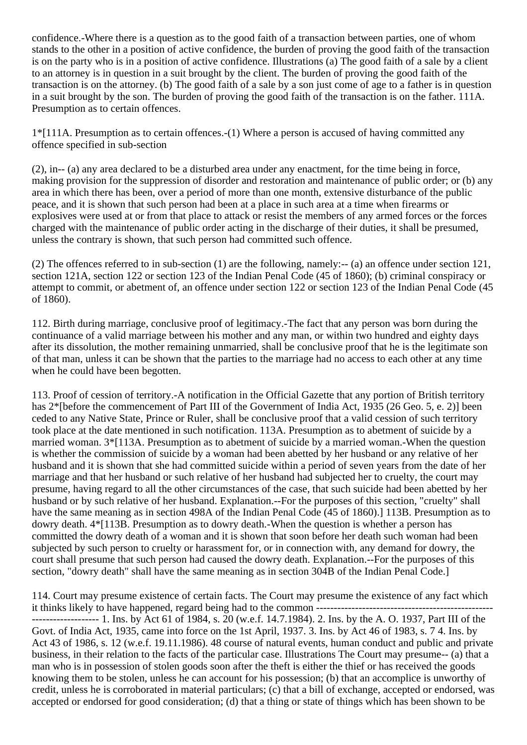confidence.-Where there is a question as to the good faith of a transaction between parties, one of whom stands to the other in a position of active confidence, the burden of proving the good faith of the transaction is on the party who is in a position of active confidence. Illustrations (a) The good faith of a sale by a client to an attorney is in question in a suit brought by the client. The burden of proving the good faith of the transaction is on the attorney. (b) The good faith of a sale by a son just come of age to a father is in question in a suit brought by the son. The burden of proving the good faith of the transaction is on the father. 111A. Presumption as to certain offences.

1\*[111A. Presumption as to certain offences.-(1) Where a person is accused of having committed any offence specified in sub-section

(2), in-- (a) any area declared to be a disturbed area under any enactment, for the time being in force, making provision for the suppression of disorder and restoration and maintenance of public order; or (b) any area in which there has been, over a period of more than one month, extensive disturbance of the public peace, and it is shown that such person had been at a place in such area at a time when firearms or explosives were used at or from that place to attack or resist the members of any armed forces or the forces charged with the maintenance of public order acting in the discharge of their duties, it shall be presumed, unless the contrary is shown, that such person had committed such offence.

(2) The offences referred to in sub-section (1) are the following, namely:-- (a) an offence under section 121, section 121A, section 122 or section 123 of the Indian Penal Code (45 of 1860); (b) criminal conspiracy or attempt to commit, or abetment of, an offence under section 122 or section 123 of the Indian Penal Code (45 of 1860).

112. Birth during marriage, conclusive proof of legitimacy.-The fact that any person was born during the continuance of a valid marriage between his mother and any man, or within two hundred and eighty days after its dissolution, the mother remaining unmarried, shall be conclusive proof that he is the legitimate son of that man, unless it can be shown that the parties to the marriage had no access to each other at any time when he could have been begotten.

113. Proof of cession of territory.-A notification in the Official Gazette that any portion of British territory has 2<sup>\*</sup>[before the commencement of Part III of the Government of India Act, 1935 (26 Geo. 5, e. 2)] been ceded to any Native State, Prince or Ruler, shall be conclusive proof that a valid cession of such territory took place at the date mentioned in such notification. 113A. Presumption as to abetment of suicide by a married woman.  $3*$ [113A. Presumption as to abetment of suicide by a married woman.-When the question is whether the commission of suicide by a woman had been abetted by her husband or any relative of her husband and it is shown that she had committed suicide within a period of seven years from the date of her marriage and that her husband or such relative of her husband had subjected her to cruelty, the court may presume, having regard to all the other circumstances of the case, that such suicide had been abetted by her husband or by such relative of her husband. Explanation.--For the purposes of this section, "cruelty" shall have the same meaning as in section 498A of the Indian Penal Code (45 of 1860).] 113B. Presumption as to dowry death. 4\*[113B. Presumption as to dowry death.-When the question is whether a person has committed the dowry death of a woman and it is shown that soon before her death such woman had been subjected by such person to cruelty or harassment for, or in connection with, any demand for dowry, the court shall presume that such person had caused the dowry death. Explanation.--For the purposes of this section, "dowry death" shall have the same meaning as in section 304B of the Indian Penal Code.]

114. Court may presume existence of certain facts. The Court may presume the existence of any fact which it thinks likely to have happened, regard being had to the common --------------------------------------------------

------------------- 1. Ins. by Act 61 of 1984, s. 20 (w.e.f. 14.7.1984). 2. Ins. by the A. O. 1937, Part III of the Govt. of India Act, 1935, came into force on the 1st April, 1937. 3. Ins. by Act 46 of 1983, s. 7 4. Ins. by Act 43 of 1986, s. 12 (w.e.f. 19.11.1986). 48 course of natural events, human conduct and public and private business, in their relation to the facts of the particular case. Illustrations The Court may presume-- (a) that a man who is in possession of stolen goods soon after the theft is either the thief or has received the goods knowing them to be stolen, unless he can account for his possession; (b) that an accomplice is unworthy of credit, unless he is corroborated in material particulars; (c) that a bill of exchange, accepted or endorsed, was accepted or endorsed for good consideration; (d) that a thing or state of things which has been shown to be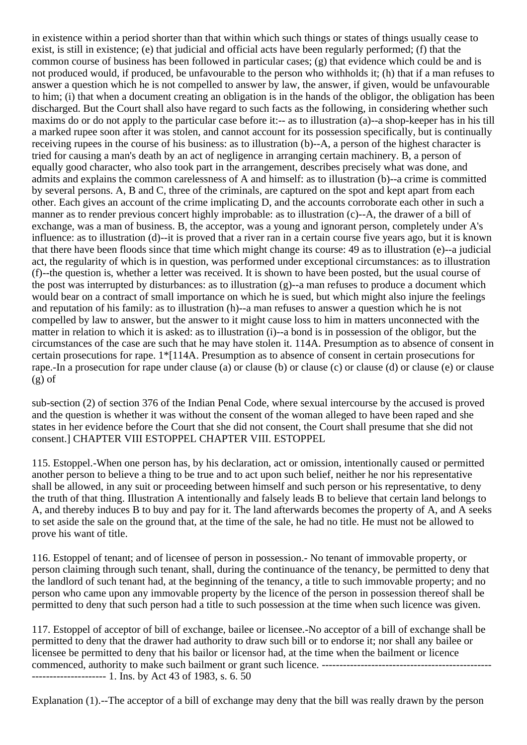in existence within a period shorter than that within which such things or states of things usually cease to exist, is still in existence; (e) that judicial and official acts have been regularly performed; (f) that the common course of business has been followed in particular cases; (g) that evidence which could be and is not produced would, if produced, be unfavourable to the person who withholds it; (h) that if a man refuses to answer a question which he is not compelled to answer by law, the answer, if given, would be unfavourable to him; (i) that when a document creating an obligation is in the hands of the obligor, the obligation has been discharged. But the Court shall also have regard to such facts as the following, in considering whether such maxims do or do not apply to the particular case before it:-- as to illustration (a)--a shop-keeper has in his till a marked rupee soon after it was stolen, and cannot account for its possession specifically, but is continually receiving rupees in the course of his business: as to illustration (b)--A, a person of the highest character is tried for causing a man's death by an act of negligence in arranging certain machinery. B, a person of equally good character, who also took part in the arrangement, describes precisely what was done, and admits and explains the common carelessness of A and himself: as to illustration (b)--a crime is committed by several persons. A, B and C, three of the criminals, are captured on the spot and kept apart from each other. Each gives an account of the crime implicating D, and the accounts corroborate each other in such a manner as to render previous concert highly improbable: as to illustration (c)--A, the drawer of a bill of exchange, was a man of business. B, the acceptor, was a young and ignorant person, completely under A's influence: as to illustration (d)--it is proved that a river ran in a certain course five years ago, but it is known that there have been floods since that time which might change its course: 49 as to illustration (e)--a judicial act, the regularity of which is in question, was performed under exceptional circumstances: as to illustration (f)--the question is, whether a letter was received. It is shown to have been posted, but the usual course of the post was interrupted by disturbances: as to illustration (g)--a man refuses to produce a document which would bear on a contract of small importance on which he is sued, but which might also injure the feelings and reputation of his family: as to illustration (h)--a man refuses to answer a question which he is not compelled by law to answer, but the answer to it might cause loss to him in matters unconnected with the matter in relation to which it is asked: as to illustration (i)--a bond is in possession of the obligor, but the circumstances of the case are such that he may have stolen it. 114A. Presumption as to absence of consent in certain prosecutions for rape. 1\*[114A. Presumption as to absence of consent in certain prosecutions for rape.-In a prosecution for rape under clause (a) or clause (b) or clause (c) or clause (d) or clause (e) or clause (g) of

sub-section (2) of section 376 of the Indian Penal Code, where sexual intercourse by the accused is proved and the question is whether it was without the consent of the woman alleged to have been raped and she states in her evidence before the Court that she did not consent, the Court shall presume that she did not consent.] CHAPTER VIII ESTOPPEL CHAPTER VIII. ESTOPPEL

115. Estoppel.-When one person has, by his declaration, act or omission, intentionally caused or permitted another person to believe a thing to be true and to act upon such belief, neither he nor his representative shall be allowed, in any suit or proceeding between himself and such person or his representative, to deny the truth of that thing. Illustration A intentionally and falsely leads B to believe that certain land belongs to A, and thereby induces B to buy and pay for it. The land afterwards becomes the property of A, and A seeks to set aside the sale on the ground that, at the time of the sale, he had no title. He must not be allowed to prove his want of title.

116. Estoppel of tenant; and of licensee of person in possession.- No tenant of immovable property, or person claiming through such tenant, shall, during the continuance of the tenancy, be permitted to deny that the landlord of such tenant had, at the beginning of the tenancy, a title to such immovable property; and no person who came upon any immovable property by the licence of the person in possession thereof shall be permitted to deny that such person had a title to such possession at the time when such licence was given.

117. Estoppel of acceptor of bill of exchange, bailee or licensee.-No acceptor of a bill of exchange shall be permitted to deny that the drawer had authority to draw such bill or to endorse it; nor shall any bailee or licensee be permitted to deny that his bailor or licensor had, at the time when the bailment or licence commenced, authority to make such bailment or grant such licence. ------------------------------------------------ --------------------- 1. Ins. by Act 43 of 1983, s. 6. 50

Explanation (1).--The acceptor of a bill of exchange may deny that the bill was really drawn by the person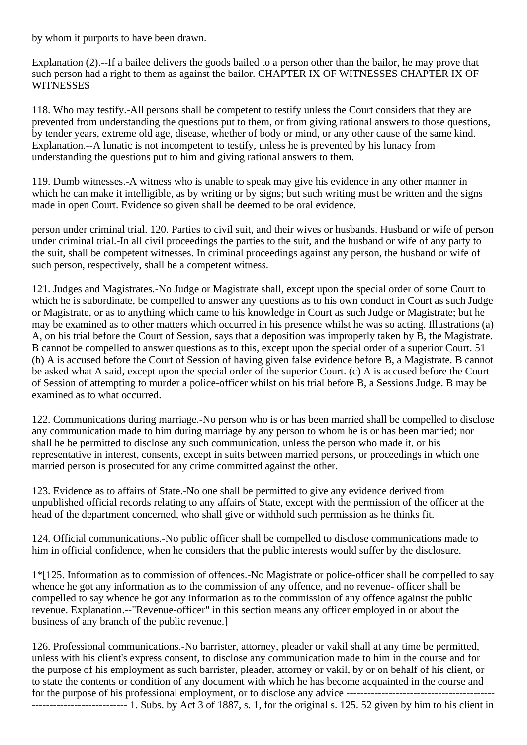by whom it purports to have been drawn.

Explanation (2).--If a bailee delivers the goods bailed to a person other than the bailor, he may prove that such person had a right to them as against the bailor. CHAPTER IX OF WITNESSES CHAPTER IX OF **WITNESSES** 

118. Who may testify.-All persons shall be competent to testify unless the Court considers that they are prevented from understanding the questions put to them, or from giving rational answers to those questions, by tender years, extreme old age, disease, whether of body or mind, or any other cause of the same kind. Explanation.--A lunatic is not incompetent to testify, unless he is prevented by his lunacy from understanding the questions put to him and giving rational answers to them.

119. Dumb witnesses.-A witness who is unable to speak may give his evidence in any other manner in which he can make it intelligible, as by writing or by signs; but such writing must be written and the signs made in open Court. Evidence so given shall be deemed to be oral evidence.

person under criminal trial. 120. Parties to civil suit, and their wives or husbands. Husband or wife of person under criminal trial.-In all civil proceedings the parties to the suit, and the husband or wife of any party to the suit, shall be competent witnesses. In criminal proceedings against any person, the husband or wife of such person, respectively, shall be a competent witness.

121. Judges and Magistrates.-No Judge or Magistrate shall, except upon the special order of some Court to which he is subordinate, be compelled to answer any questions as to his own conduct in Court as such Judge or Magistrate, or as to anything which came to his knowledge in Court as such Judge or Magistrate; but he may be examined as to other matters which occurred in his presence whilst he was so acting. Illustrations (a) A, on his trial before the Court of Session, says that a deposition was improperly taken by B, the Magistrate. B cannot be compelled to answer questions as to this, except upon the special order of a superior Court. 51 (b) A is accused before the Court of Session of having given false evidence before B, a Magistrate. B cannot be asked what A said, except upon the special order of the superior Court. (c) A is accused before the Court of Session of attempting to murder a police-officer whilst on his trial before B, a Sessions Judge. B may be examined as to what occurred.

122. Communications during marriage.-No person who is or has been married shall be compelled to disclose any communication made to him during marriage by any person to whom he is or has been married; nor shall he be permitted to disclose any such communication, unless the person who made it, or his representative in interest, consents, except in suits between married persons, or proceedings in which one married person is prosecuted for any crime committed against the other.

123. Evidence as to affairs of State.-No one shall be permitted to give any evidence derived from unpublished official records relating to any affairs of State, except with the permission of the officer at the head of the department concerned, who shall give or withhold such permission as he thinks fit.

124. Official communications.-No public officer shall be compelled to disclose communications made to him in official confidence, when he considers that the public interests would suffer by the disclosure.

1\*[125. Information as to commission of offences.-No Magistrate or police-officer shall be compelled to say whence he got any information as to the commission of any offence, and no revenue- officer shall be compelled to say whence he got any information as to the commission of any offence against the public revenue. Explanation.--"Revenue-officer" in this section means any officer employed in or about the business of any branch of the public revenue.]

126. Professional communications.-No barrister, attorney, pleader or vakil shall at any time be permitted, unless with his client's express consent, to disclose any communication made to him in the course and for the purpose of his employment as such barrister, pleader, attorney or vakil, by or on behalf of his client, or to state the contents or condition of any document with which he has become acquainted in the course and for the purpose of his professional employment, or to disclose any advice ------------ $-$ -------------------- 1. Subs. by Act 3 of 1887, s. 1, for the original s. 125. 52 given by him to his client in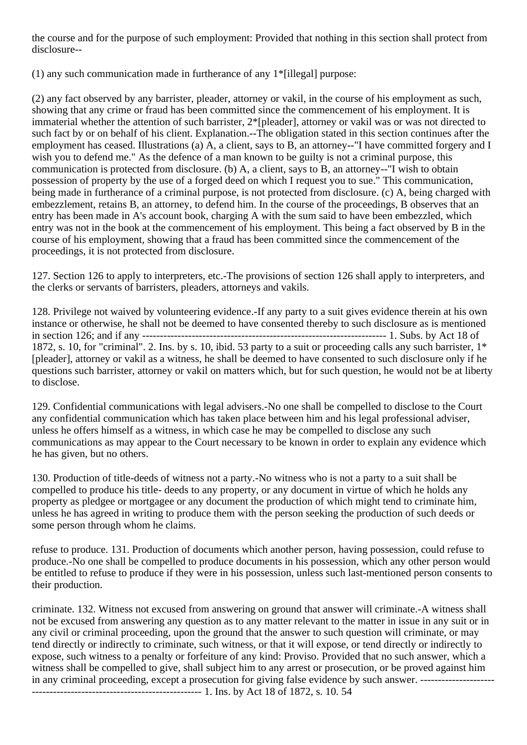the course and for the purpose of such employment: Provided that nothing in this section shall protect from disclosure--

(1) any such communication made in furtherance of any 1\*[illegal] purpose:

(2) any fact observed by any barrister, pleader, attorney or vakil, in the course of his employment as such, showing that any crime or fraud has been committed since the commencement of his employment. It is immaterial whether the attention of such barrister, 2\*[pleader], attorney or vakil was or was not directed to such fact by or on behalf of his client. Explanation.--The obligation stated in this section continues after the employment has ceased. Illustrations (a) A, a client, says to B, an attorney--"I have committed forgery and I wish you to defend me." As the defence of a man known to be guilty is not a criminal purpose, this communication is protected from disclosure. (b) A, a client, says to B, an attorney--"I wish to obtain possession of property by the use of a forged deed on which I request you to sue." This communication, being made in furtherance of a criminal purpose, is not protected from disclosure. (c) A, being charged with embezzlement, retains B, an attorney, to defend him. In the course of the proceedings, B observes that an entry has been made in A's account book, charging A with the sum said to have been embezzled, which entry was not in the book at the commencement of his employment. This being a fact observed by B in the course of his employment, showing that a fraud has been committed since the commencement of the proceedings, it is not protected from disclosure.

127. Section 126 to apply to interpreters, etc.-The provisions of section 126 shall apply to interpreters, and the clerks or servants of barristers, pleaders, attorneys and vakils.

128. Privilege not waived by volunteering evidence.-If any party to a suit gives evidence therein at his own instance or otherwise, he shall not be deemed to have consented thereby to such disclosure as is mentioned in section 126; and if any --------------------------------------------------------------------- 1. Subs. by Act 18 of 1872, s. 10, for "criminal". 2. Ins. by s. 10, ibid. 53 party to a suit or proceeding calls any such barrister, 1\* [pleader], attorney or vakil as a witness, he shall be deemed to have consented to such disclosure only if he questions such barrister, attorney or vakil on matters which, but for such question, he would not be at liberty to disclose.

129. Confidential communications with legal advisers.-No one shall be compelled to disclose to the Court any confidential communication which has taken place between him and his legal professional adviser, unless he offers himself as a witness, in which case he may be compelled to disclose any such communications as may appear to the Court necessary to be known in order to explain any evidence which he has given, but no others.

130. Production of title-deeds of witness not a party.-No witness who is not a party to a suit shall be compelled to produce his title- deeds to any property, or any document in virtue of which he holds any property as pledgee or mortgagee or any document the production of which might tend to criminate him, unless he has agreed in writing to produce them with the person seeking the production of such deeds or some person through whom he claims.

refuse to produce. 131. Production of documents which another person, having possession, could refuse to produce.-No one shall be compelled to produce documents in his possession, which any other person would be entitled to refuse to produce if they were in his possession, unless such last-mentioned person consents to their production.

criminate. 132. Witness not excused from answering on ground that answer will criminate.-A witness shall not be excused from answering any question as to any matter relevant to the matter in issue in any suit or in any civil or criminal proceeding, upon the ground that the answer to such question will criminate, or may tend directly or indirectly to criminate, such witness, or that it will expose, or tend directly or indirectly to expose, such witness to a penalty or forfeiture of any kind: Proviso. Provided that no such answer, which a witness shall be compelled to give, shall subject him to any arrest or prosecution, or be proved against him in any criminal proceeding, except a prosecution for giving false evidence by such answer. ------------------------------------------------------------------- 1. Ins. by Act 18 of 1872, s. 10. 54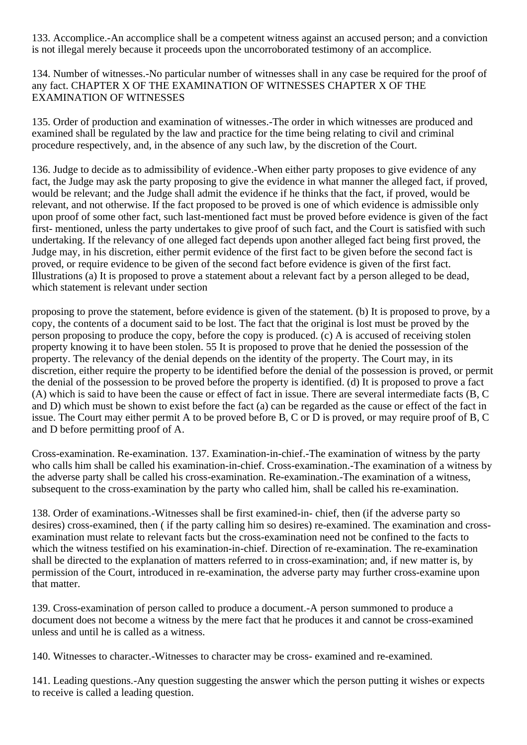133. Accomplice.-An accomplice shall be a competent witness against an accused person; and a conviction is not illegal merely because it proceeds upon the uncorroborated testimony of an accomplice.

134. Number of witnesses.-No particular number of witnesses shall in any case be required for the proof of any fact. CHAPTER X OF THE EXAMINATION OF WITNESSES CHAPTER X OF THE EXAMINATION OF WITNESSES

135. Order of production and examination of witnesses.-The order in which witnesses are produced and examined shall be regulated by the law and practice for the time being relating to civil and criminal procedure respectively, and, in the absence of any such law, by the discretion of the Court.

136. Judge to decide as to admissibility of evidence.-When either party proposes to give evidence of any fact, the Judge may ask the party proposing to give the evidence in what manner the alleged fact, if proved, would be relevant; and the Judge shall admit the evidence if he thinks that the fact, if proved, would be relevant, and not otherwise. If the fact proposed to be proved is one of which evidence is admissible only upon proof of some other fact, such last-mentioned fact must be proved before evidence is given of the fact first- mentioned, unless the party undertakes to give proof of such fact, and the Court is satisfied with such undertaking. If the relevancy of one alleged fact depends upon another alleged fact being first proved, the Judge may, in his discretion, either permit evidence of the first fact to be given before the second fact is proved, or require evidence to be given of the second fact before evidence is given of the first fact. Illustrations (a) It is proposed to prove a statement about a relevant fact by a person alleged to be dead, which statement is relevant under section

proposing to prove the statement, before evidence is given of the statement. (b) It is proposed to prove, by a copy, the contents of a document said to be lost. The fact that the original is lost must be proved by the person proposing to produce the copy, before the copy is produced. (c) A is accused of receiving stolen property knowing it to have been stolen. 55 It is proposed to prove that he denied the possession of the property. The relevancy of the denial depends on the identity of the property. The Court may, in its discretion, either require the property to be identified before the denial of the possession is proved, or permit the denial of the possession to be proved before the property is identified. (d) It is proposed to prove a fact (A) which is said to have been the cause or effect of fact in issue. There are several intermediate facts (B, C and D) which must be shown to exist before the fact (a) can be regarded as the cause or effect of the fact in issue. The Court may either permit A to be proved before B, C or D is proved, or may require proof of B, C and D before permitting proof of A.

Cross-examination. Re-examination. 137. Examination-in-chief.-The examination of witness by the party who calls him shall be called his examination-in-chief. Cross-examination.-The examination of a witness by the adverse party shall be called his cross-examination. Re-examination.-The examination of a witness, subsequent to the cross-examination by the party who called him, shall be called his re-examination.

138. Order of examinations.-Witnesses shall be first examined-in- chief, then (if the adverse party so desires) cross-examined, then ( if the party calling him so desires) re-examined. The examination and crossexamination must relate to relevant facts but the cross-examination need not be confined to the facts to which the witness testified on his examination-in-chief. Direction of re-examination. The re-examination shall be directed to the explanation of matters referred to in cross-examination; and, if new matter is, by permission of the Court, introduced in re-examination, the adverse party may further cross-examine upon that matter.

139. Cross-examination of person called to produce a document.-A person summoned to produce a document does not become a witness by the mere fact that he produces it and cannot be cross-examined unless and until he is called as a witness.

140. Witnesses to character.-Witnesses to character may be cross- examined and re-examined.

141. Leading questions.-Any question suggesting the answer which the person putting it wishes or expects to receive is called a leading question.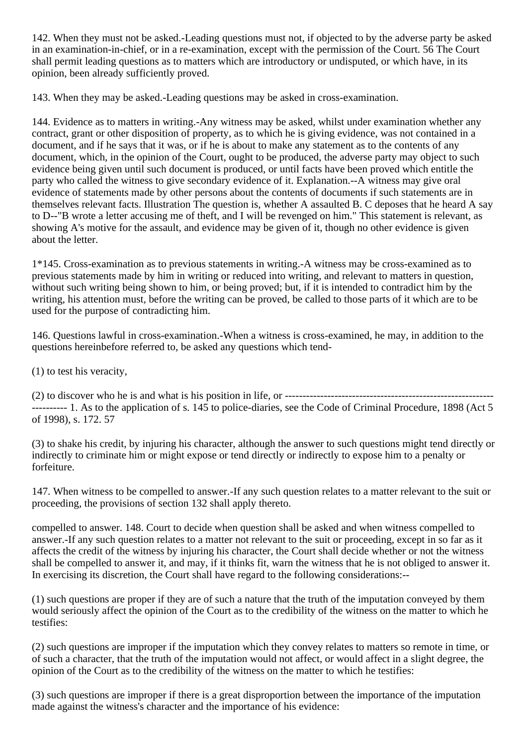142. When they must not be asked.-Leading questions must not, if objected to by the adverse party be asked in an examination-in-chief, or in a re-examination, except with the permission of the Court. 56 The Court shall permit leading questions as to matters which are introductory or undisputed, or which have, in its opinion, been already sufficiently proved.

143. When they may be asked.-Leading questions may be asked in cross-examination.

144. Evidence as to matters in writing.-Any witness may be asked, whilst under examination whether any contract, grant or other disposition of property, as to which he is giving evidence, was not contained in a document, and if he says that it was, or if he is about to make any statement as to the contents of any document, which, in the opinion of the Court, ought to be produced, the adverse party may object to such evidence being given until such document is produced, or until facts have been proved which entitle the party who called the witness to give secondary evidence of it. Explanation.--A witness may give oral evidence of statements made by other persons about the contents of documents if such statements are in themselves relevant facts. Illustration The question is, whether A assaulted B. C deposes that he heard A say to D--"B wrote a letter accusing me of theft, and I will be revenged on him." This statement is relevant, as showing A's motive for the assault, and evidence may be given of it, though no other evidence is given about the letter.

1\*145. Cross-examination as to previous statements in writing.-A witness may be cross-examined as to previous statements made by him in writing or reduced into writing, and relevant to matters in question, without such writing being shown to him, or being proved; but, if it is intended to contradict him by the writing, his attention must, before the writing can be proved, be called to those parts of it which are to be used for the purpose of contradicting him.

146. Questions lawful in cross-examination.-When a witness is cross-examined, he may, in addition to the questions hereinbefore referred to, be asked any questions which tend-

(1) to test his veracity,

(2) to discover who he is and what is his position in life, or ----------------------------------------------------------- ---------- 1. As to the application of s. 145 to police-diaries, see the Code of Criminal Procedure, 1898 (Act 5 of 1998), s. 172. 57

(3) to shake his credit, by injuring his character, although the answer to such questions might tend directly or indirectly to criminate him or might expose or tend directly or indirectly to expose him to a penalty or forfeiture.

147. When witness to be compelled to answer.-If any such question relates to a matter relevant to the suit or proceeding, the provisions of section 132 shall apply thereto.

compelled to answer. 148. Court to decide when question shall be asked and when witness compelled to answer.-If any such question relates to a matter not relevant to the suit or proceeding, except in so far as it affects the credit of the witness by injuring his character, the Court shall decide whether or not the witness shall be compelled to answer it, and may, if it thinks fit, warn the witness that he is not obliged to answer it. In exercising its discretion, the Court shall have regard to the following considerations:--

(1) such questions are proper if they are of such a nature that the truth of the imputation conveyed by them would seriously affect the opinion of the Court as to the credibility of the witness on the matter to which he testifies:

(2) such questions are improper if the imputation which they convey relates to matters so remote in time, or of such a character, that the truth of the imputation would not affect, or would affect in a slight degree, the opinion of the Court as to the credibility of the witness on the matter to which he testifies:

(3) such questions are improper if there is a great disproportion between the importance of the imputation made against the witness's character and the importance of his evidence: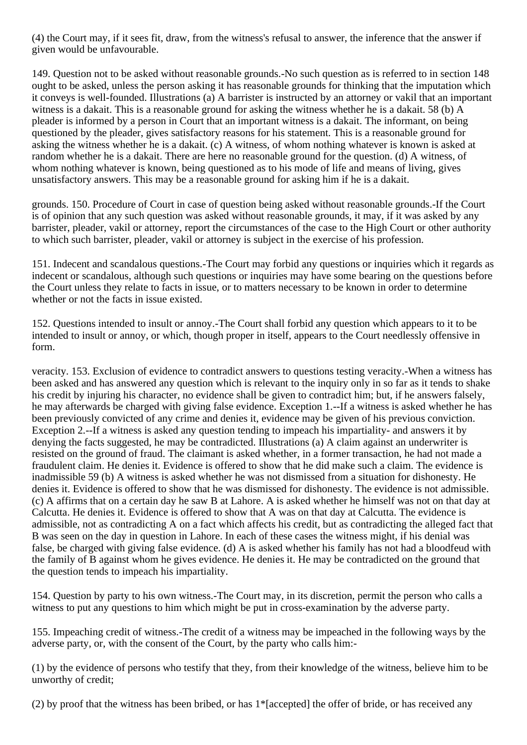(4) the Court may, if it sees fit, draw, from the witness's refusal to answer, the inference that the answer if given would be unfavourable.

149. Question not to be asked without reasonable grounds.-No such question as is referred to in section 148 ought to be asked, unless the person asking it has reasonable grounds for thinking that the imputation which it conveys is well-founded. Illustrations (a) A barrister is instructed by an attorney or vakil that an important witness is a dakait. This is a reasonable ground for asking the witness whether he is a dakait. 58 (b) A pleader is informed by a person in Court that an important witness is a dakait. The informant, on being questioned by the pleader, gives satisfactory reasons for his statement. This is a reasonable ground for asking the witness whether he is a dakait. (c) A witness, of whom nothing whatever is known is asked at random whether he is a dakait. There are here no reasonable ground for the question. (d) A witness, of whom nothing whatever is known, being questioned as to his mode of life and means of living, gives unsatisfactory answers. This may be a reasonable ground for asking him if he is a dakait.

grounds. 150. Procedure of Court in case of question being asked without reasonable grounds.-If the Court is of opinion that any such question was asked without reasonable grounds, it may, if it was asked by any barrister, pleader, vakil or attorney, report the circumstances of the case to the High Court or other authority to which such barrister, pleader, vakil or attorney is subject in the exercise of his profession.

151. Indecent and scandalous questions.-The Court may forbid any questions or inquiries which it regards as indecent or scandalous, although such questions or inquiries may have some bearing on the questions before the Court unless they relate to facts in issue, or to matters necessary to be known in order to determine whether or not the facts in issue existed.

152. Questions intended to insult or annoy.-The Court shall forbid any question which appears to it to be intended to insult or annoy, or which, though proper in itself, appears to the Court needlessly offensive in form.

veracity. 153. Exclusion of evidence to contradict answers to questions testing veracity.-When a witness has been asked and has answered any question which is relevant to the inquiry only in so far as it tends to shake his credit by injuring his character, no evidence shall be given to contradict him; but, if he answers falsely, he may afterwards be charged with giving false evidence. Exception 1.--If a witness is asked whether he has been previously convicted of any crime and denies it, evidence may be given of his previous conviction. Exception 2.--If a witness is asked any question tending to impeach his impartiality- and answers it by denying the facts suggested, he may be contradicted. Illustrations (a) A claim against an underwriter is resisted on the ground of fraud. The claimant is asked whether, in a former transaction, he had not made a fraudulent claim. He denies it. Evidence is offered to show that he did make such a claim. The evidence is inadmissible 59 (b) A witness is asked whether he was not dismissed from a situation for dishonesty. He denies it. Evidence is offered to show that he was dismissed for dishonesty. The evidence is not admissible. (c) A affirms that on a certain day he saw B at Lahore. A is asked whether he himself was not on that day at Calcutta. He denies it. Evidence is offered to show that A was on that day at Calcutta. The evidence is admissible, not as contradicting A on a fact which affects his credit, but as contradicting the alleged fact that B was seen on the day in question in Lahore. In each of these cases the witness might, if his denial was false, be charged with giving false evidence. (d) A is asked whether his family has not had a bloodfeud with the family of B against whom he gives evidence. He denies it. He may be contradicted on the ground that the question tends to impeach his impartiality.

154. Question by party to his own witness.-The Court may, in its discretion, permit the person who calls a witness to put any questions to him which might be put in cross-examination by the adverse party.

155. Impeaching credit of witness.-The credit of a witness may be impeached in the following ways by the adverse party, or, with the consent of the Court, by the party who calls him:-

(1) by the evidence of persons who testify that they, from their knowledge of the witness, believe him to be unworthy of credit;

(2) by proof that the witness has been bribed, or has 1\*[accepted] the offer of bride, or has received any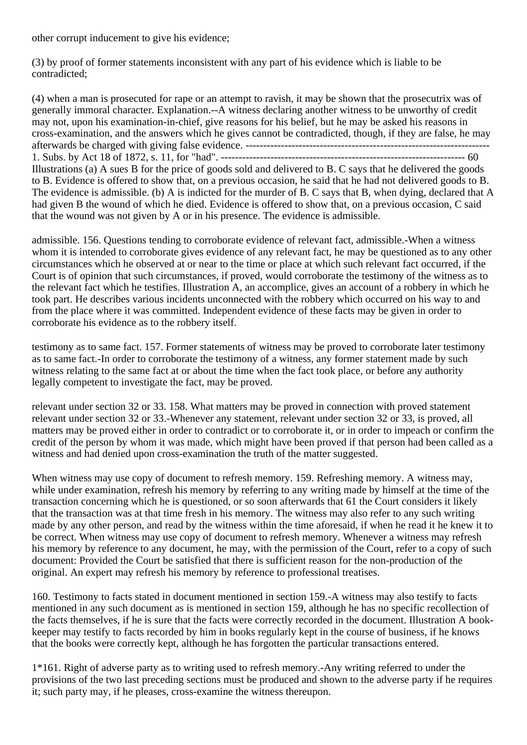other corrupt inducement to give his evidence;

(3) by proof of former statements inconsistent with any part of his evidence which is liable to be contradicted;

(4) when a man is prosecuted for rape or an attempt to ravish, it may be shown that the prosecutrix was of generally immoral character. Explanation.--A witness declaring another witness to be unworthy of credit may not, upon his examination-in-chief, give reasons for his belief, but he may be asked his reasons in cross-examination, and the answers which he gives cannot be contradicted, though, if they are false, he may afterwards be charged with giving false evidence. --------------------------------------------------------------------- 1. Subs. by Act 18 of 1872, s. 11, for "had". --------------------------------------------------------------------- 60 Illustrations (a) A sues B for the price of goods sold and delivered to B. C says that he delivered the goods to B. Evidence is offered to show that, on a previous occasion, he said that he had not delivered goods to B. The evidence is admissible. (b) A is indicted for the murder of B. C says that B, when dying, declared that A had given B the wound of which he died. Evidence is offered to show that, on a previous occasion, C said that the wound was not given by A or in his presence. The evidence is admissible.

admissible. 156. Questions tending to corroborate evidence of relevant fact, admissible.-When a witness whom it is intended to corroborate gives evidence of any relevant fact, he may be questioned as to any other circumstances which he observed at or near to the time or place at which such relevant fact occurred, if the Court is of opinion that such circumstances, if proved, would corroborate the testimony of the witness as to the relevant fact which he testifies. Illustration A, an accomplice, gives an account of a robbery in which he took part. He describes various incidents unconnected with the robbery which occurred on his way to and from the place where it was committed. Independent evidence of these facts may be given in order to corroborate his evidence as to the robbery itself.

testimony as to same fact. 157. Former statements of witness may be proved to corroborate later testimony as to same fact.-In order to corroborate the testimony of a witness, any former statement made by such witness relating to the same fact at or about the time when the fact took place, or before any authority legally competent to investigate the fact, may be proved.

relevant under section 32 or 33. 158. What matters may be proved in connection with proved statement relevant under section 32 or 33.-Whenever any statement, relevant under section 32 or 33, is proved, all matters may be proved either in order to contradict or to corroborate it, or in order to impeach or confirm the credit of the person by whom it was made, which might have been proved if that person had been called as a witness and had denied upon cross-examination the truth of the matter suggested.

When witness may use copy of document to refresh memory. 159. Refreshing memory. A witness may, while under examination, refresh his memory by referring to any writing made by himself at the time of the transaction concerning which he is questioned, or so soon afterwards that 61 the Court considers it likely that the transaction was at that time fresh in his memory. The witness may also refer to any such writing made by any other person, and read by the witness within the time aforesaid, if when he read it he knew it to be correct. When witness may use copy of document to refresh memory. Whenever a witness may refresh his memory by reference to any document, he may, with the permission of the Court, refer to a copy of such document: Provided the Court be satisfied that there is sufficient reason for the non-production of the original. An expert may refresh his memory by reference to professional treatises.

160. Testimony to facts stated in document mentioned in section 159.-A witness may also testify to facts mentioned in any such document as is mentioned in section 159, although he has no specific recollection of the facts themselves, if he is sure that the facts were correctly recorded in the document. Illustration A bookkeeper may testify to facts recorded by him in books regularly kept in the course of business, if he knows that the books were correctly kept, although he has forgotten the particular transactions entered.

1\*161. Right of adverse party as to writing used to refresh memory.-Any writing referred to under the provisions of the two last preceding sections must be produced and shown to the adverse party if he requires it; such party may, if he pleases, cross-examine the witness thereupon.